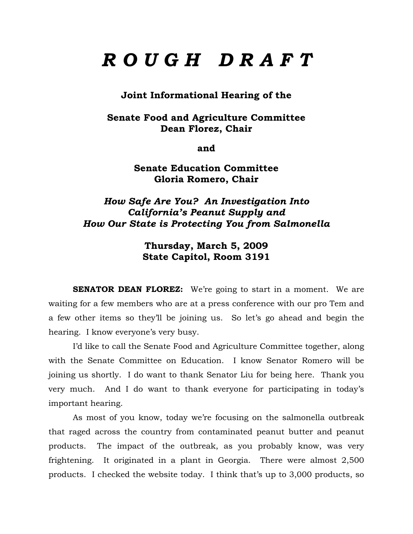# *R O U G H D R A F T*

**Joint Informational Hearing of the** 

**Senate Food and Agriculture Committee Dean Florez, Chair** 

**and** 

**Senate Education Committee Gloria Romero, Chair** 

## *How Safe Are You? An Investigation Into California's Peanut Supply and How Our State is Protecting You from Salmonella*

**Thursday, March 5, 2009 State Capitol, Room 3191** 

**SENATOR DEAN FLOREZ:** We're going to start in a moment. We are waiting for a few members who are at a press conference with our pro Tem and a few other items so they'll be joining us. So let's go ahead and begin the hearing. I know everyone's very busy.

 I'd like to call the Senate Food and Agriculture Committee together, along with the Senate Committee on Education. I know Senator Romero will be joining us shortly. I do want to thank Senator Liu for being here. Thank you very much. And I do want to thank everyone for participating in today's important hearing.

 As most of you know, today we're focusing on the salmonella outbreak that raged across the country from contaminated peanut butter and peanut products. The impact of the outbreak, as you probably know, was very frightening. It originated in a plant in Georgia. There were almost 2,500 products. I checked the website today. I think that's up to 3,000 products, so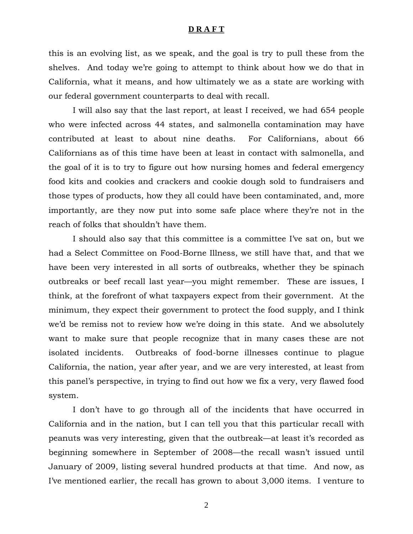this is an evolving list, as we speak, and the goal is try to pull these from the shelves. And today we're going to attempt to think about how we do that in California, what it means, and how ultimately we as a state are working with our federal government counterparts to deal with recall.

I will also say that the last report, at least I received, we had 654 people who were infected across 44 states, and salmonella contamination may have contributed at least to about nine deaths. For Californians, about 66 Californians as of this time have been at least in contact with salmonella, and the goal of it is to try to figure out how nursing homes and federal emergency food kits and cookies and crackers and cookie dough sold to fundraisers and those types of products, how they all could have been contaminated, and, more importantly, are they now put into some safe place where they're not in the reach of folks that shouldn't have them.

I should also say that this committee is a committee I've sat on, but we had a Select Committee on Food-Borne Illness, we still have that, and that we have been very interested in all sorts of outbreaks, whether they be spinach outbreaks or beef recall last year—you might remember. These are issues, I think, at the forefront of what taxpayers expect from their government. At the minimum, they expect their government to protect the food supply, and I think we'd be remiss not to review how we're doing in this state. And we absolutely want to make sure that people recognize that in many cases these are not isolated incidents. Outbreaks of food-borne illnesses continue to plague California, the nation, year after year, and we are very interested, at least from this panel's perspective, in trying to find out how we fix a very, very flawed food system.

I don't have to go through all of the incidents that have occurred in California and in the nation, but I can tell you that this particular recall with peanuts was very interesting, given that the outbreak—at least it's recorded as beginning somewhere in September of 2008—the recall wasn't issued until January of 2009, listing several hundred products at that time. And now, as I've mentioned earlier, the recall has grown to about 3,000 items. I venture to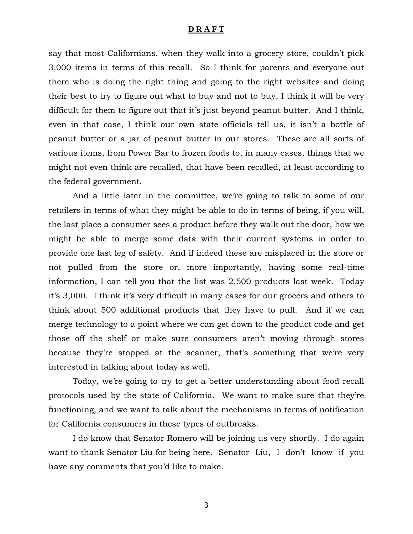say that most Californians, when they walk into a grocery store, couldn't pick 3,000 items in terms of this recall. So I think for parents and everyone out there who is doing the right thing and going to the right websites and doing their best to try to figure out what to buy and not to buy, I think it will be very difficult for them to figure out that it's just beyond peanut butter. And I think, even in that case, I think our own state officials tell us, it isn't a bottle of peanut butter or a jar of peanut butter in our stores. These are all sorts of various items, from Power Bar to frozen foods to, in many cases, things that we might not even think are recalled, that have been recalled, at least according to the federal government.

And a little later in the committee, we're going to talk to some of our retailers in terms of what they might be able to do in terms of being, if you will, the last place a consumer sees a product before they walk out the door, how we might be able to merge some data with their current systems in order to provide one last leg of safety. And if indeed these are misplaced in the store or not pulled from the store or, more importantly, having some real-time information, I can tell you that the list was 2,500 products last week. Today it's 3,000. I think it's very difficult in many cases for our grocers and others to think about 500 additional products that they have to pull. And if we can merge technology to a point where we can get down to the product code and get those off the shelf or make sure consumers aren't moving through stores because they're stopped at the scanner, that's something that we're very interested in talking about today as well.

 Today, we're going to try to get a better understanding about food recall protocols used by the state of California. We want to make sure that they're functioning, and we want to talk about the mechanisms in terms of notification for California consumers in these types of outbreaks.

I do know that Senator Romero will be joining us very shortly. I do again want to thank Senator Liu for being here. Senator Liu, I don't know if you have any comments that you'd like to make.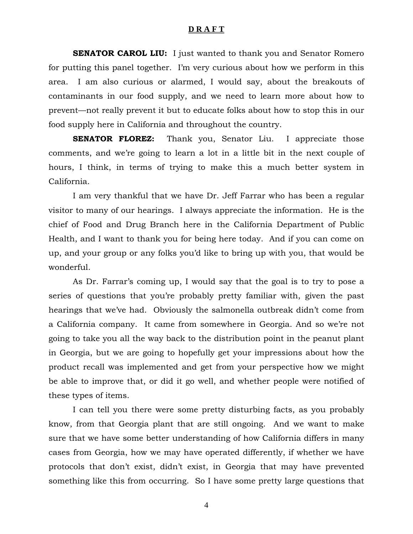**SENATOR CAROL LIU:** I just wanted to thank you and Senator Romero for putting this panel together. I'm very curious about how we perform in this area. I am also curious or alarmed, I would say, about the breakouts of contaminants in our food supply, and we need to learn more about how to prevent—not really prevent it but to educate folks about how to stop this in our food supply here in California and throughout the country.

**SENATOR FLOREZ:** Thank you, Senator Liu. I appreciate those comments, and we're going to learn a lot in a little bit in the next couple of hours, I think, in terms of trying to make this a much better system in California.

 I am very thankful that we have Dr. Jeff Farrar who has been a regular visitor to many of our hearings. I always appreciate the information. He is the chief of Food and Drug Branch here in the California Department of Public Health, and I want to thank you for being here today. And if you can come on up, and your group or any folks you'd like to bring up with you, that would be wonderful.

 As Dr. Farrar's coming up, I would say that the goal is to try to pose a series of questions that you're probably pretty familiar with, given the past hearings that we've had. Obviously the salmonella outbreak didn't come from a California company. It came from somewhere in Georgia. And so we're not going to take you all the way back to the distribution point in the peanut plant in Georgia, but we are going to hopefully get your impressions about how the product recall was implemented and get from your perspective how we might be able to improve that, or did it go well, and whether people were notified of these types of items.

 I can tell you there were some pretty disturbing facts, as you probably know, from that Georgia plant that are still ongoing. And we want to make sure that we have some better understanding of how California differs in many cases from Georgia, how we may have operated differently, if whether we have protocols that don't exist, didn't exist, in Georgia that may have prevented something like this from occurring. So I have some pretty large questions that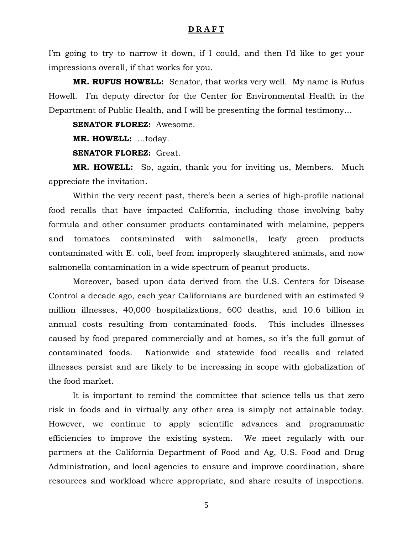I'm going to try to narrow it down, if I could, and then I'd like to get your impressions overall, if that works for you.

**MR. RUFUS HOWELL:** Senator, that works very well. My name is Rufus Howell. I'm deputy director for the Center for Environmental Health in the Department of Public Health, and I will be presenting the formal testimony…

**SENATOR FLOREZ:** Awesome.

**MR. HOWELL:** ...today.

**SENATOR FLOREZ:** Great.

**MR. HOWELL:** So, again, thank you for inviting us, Members. Much appreciate the invitation.

 Within the very recent past, there's been a series of high-profile national food recalls that have impacted California, including those involving baby formula and other consumer products contaminated with melamine, peppers and tomatoes contaminated with salmonella, leafy green products contaminated with E. coli, beef from improperly slaughtered animals, and now salmonella contamination in a wide spectrum of peanut products.

 Moreover, based upon data derived from the U.S. Centers for Disease Control a decade ago, each year Californians are burdened with an estimated 9 million illnesses, 40,000 hospitalizations, 600 deaths, and 10.6 billion in annual costs resulting from contaminated foods. This includes illnesses caused by food prepared commercially and at homes, so it's the full gamut of contaminated foods. Nationwide and statewide food recalls and related illnesses persist and are likely to be increasing in scope with globalization of the food market.

 It is important to remind the committee that science tells us that zero risk in foods and in virtually any other area is simply not attainable today. However, we continue to apply scientific advances and programmatic efficiencies to improve the existing system. We meet regularly with our partners at the California Department of Food and Ag, U.S. Food and Drug Administration, and local agencies to ensure and improve coordination, share resources and workload where appropriate, and share results of inspections.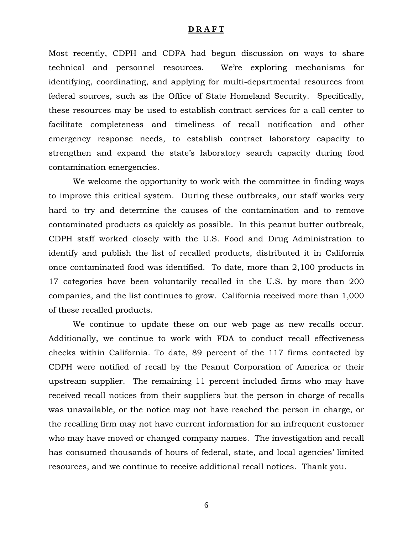Most recently, CDPH and CDFA had begun discussion on ways to share technical and personnel resources. We're exploring mechanisms for identifying, coordinating, and applying for multi-departmental resources from federal sources, such as the Office of State Homeland Security. Specifically, these resources may be used to establish contract services for a call center to facilitate completeness and timeliness of recall notification and other emergency response needs, to establish contract laboratory capacity to strengthen and expand the state's laboratory search capacity during food contamination emergencies.

 We welcome the opportunity to work with the committee in finding ways to improve this critical system. During these outbreaks, our staff works very hard to try and determine the causes of the contamination and to remove contaminated products as quickly as possible. In this peanut butter outbreak, CDPH staff worked closely with the U.S. Food and Drug Administration to identify and publish the list of recalled products, distributed it in California once contaminated food was identified. To date, more than 2,100 products in 17 categories have been voluntarily recalled in the U.S. by more than 200 companies, and the list continues to grow. California received more than 1,000 of these recalled products.

We continue to update these on our web page as new recalls occur. Additionally, we continue to work with FDA to conduct recall effectiveness checks within California. To date, 89 percent of the 117 firms contacted by CDPH were notified of recall by the Peanut Corporation of America or their upstream supplier. The remaining 11 percent included firms who may have received recall notices from their suppliers but the person in charge of recalls was unavailable, or the notice may not have reached the person in charge, or the recalling firm may not have current information for an infrequent customer who may have moved or changed company names. The investigation and recall has consumed thousands of hours of federal, state, and local agencies' limited resources, and we continue to receive additional recall notices. Thank you.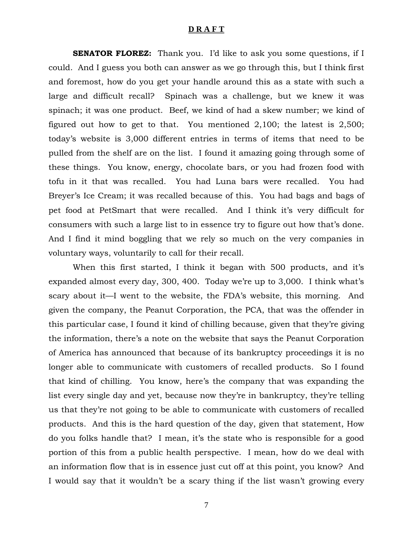**SENATOR FLOREZ:** Thank you. I'd like to ask you some questions, if I could. And I guess you both can answer as we go through this, but I think first and foremost, how do you get your handle around this as a state with such a large and difficult recall? Spinach was a challenge, but we knew it was spinach; it was one product. Beef, we kind of had a skew number; we kind of figured out how to get to that. You mentioned 2,100; the latest is 2,500; today's website is 3,000 different entries in terms of items that need to be pulled from the shelf are on the list. I found it amazing going through some of these things. You know, energy, chocolate bars, or you had frozen food with tofu in it that was recalled. You had Luna bars were recalled. You had Breyer's Ice Cream; it was recalled because of this. You had bags and bags of pet food at PetSmart that were recalled. And I think it's very difficult for consumers with such a large list to in essence try to figure out how that's done. And I find it mind boggling that we rely so much on the very companies in voluntary ways, voluntarily to call for their recall.

 When this first started, I think it began with 500 products, and it's expanded almost every day, 300, 400. Today we're up to 3,000. I think what's scary about it—I went to the website, the FDA's website, this morning. And given the company, the Peanut Corporation, the PCA, that was the offender in this particular case, I found it kind of chilling because, given that they're giving the information, there's a note on the website that says the Peanut Corporation of America has announced that because of its bankruptcy proceedings it is no longer able to communicate with customers of recalled products. So I found that kind of chilling. You know, here's the company that was expanding the list every single day and yet, because now they're in bankruptcy, they're telling us that they're not going to be able to communicate with customers of recalled products. And this is the hard question of the day, given that statement, How do you folks handle that? I mean, it's the state who is responsible for a good portion of this from a public health perspective. I mean, how do we deal with an information flow that is in essence just cut off at this point, you know? And I would say that it wouldn't be a scary thing if the list wasn't growing every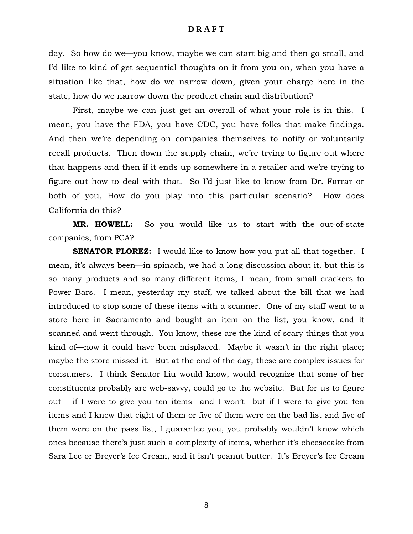day. So how do we—you know, maybe we can start big and then go small, and I'd like to kind of get sequential thoughts on it from you on, when you have a situation like that, how do we narrow down, given your charge here in the state, how do we narrow down the product chain and distribution?

 First, maybe we can just get an overall of what your role is in this. I mean, you have the FDA, you have CDC, you have folks that make findings. And then we're depending on companies themselves to notify or voluntarily recall products. Then down the supply chain, we're trying to figure out where that happens and then if it ends up somewhere in a retailer and we're trying to figure out how to deal with that. So I'd just like to know from Dr. Farrar or both of you, How do you play into this particular scenario? How does California do this?

**MR. HOWELL:** So you would like us to start with the out-of-state companies, from PCA?

**SENATOR FLOREZ:** I would like to know how you put all that together. I mean, it's always been—in spinach, we had a long discussion about it, but this is so many products and so many different items, I mean, from small crackers to Power Bars. I mean, yesterday my staff, we talked about the bill that we had introduced to stop some of these items with a scanner. One of my staff went to a store here in Sacramento and bought an item on the list, you know, and it scanned and went through. You know, these are the kind of scary things that you kind of—now it could have been misplaced. Maybe it wasn't in the right place; maybe the store missed it. But at the end of the day, these are complex issues for consumers. I think Senator Liu would know, would recognize that some of her constituents probably are web-savvy, could go to the website. But for us to figure out— if I were to give you ten items—and I won't—but if I were to give you ten items and I knew that eight of them or five of them were on the bad list and five of them were on the pass list, I guarantee you, you probably wouldn't know which ones because there's just such a complexity of items, whether it's cheesecake from Sara Lee or Breyer's Ice Cream, and it isn't peanut butter. It's Breyer's Ice Cream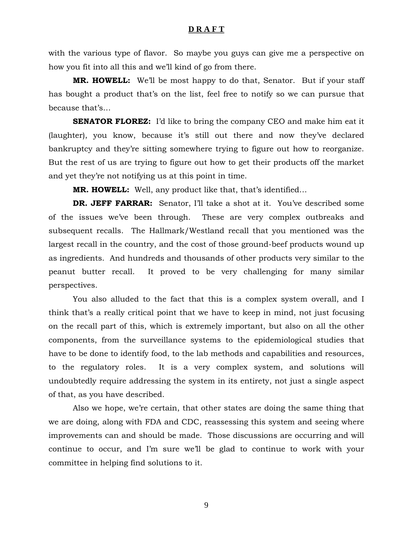with the various type of flavor. So maybe you guys can give me a perspective on how you fit into all this and we'll kind of go from there.

**MR. HOWELL:** We'll be most happy to do that, Senator. But if your staff has bought a product that's on the list, feel free to notify so we can pursue that because that's…

**SENATOR FLOREZ:** I'd like to bring the company CEO and make him eat it (laughter), you know, because it's still out there and now they've declared bankruptcy and they're sitting somewhere trying to figure out how to reorganize. But the rest of us are trying to figure out how to get their products off the market and yet they're not notifying us at this point in time.

**MR. HOWELL:** Well, any product like that, that's identified…

**DR. JEFF FARRAR:** Senator, I'll take a shot at it. You've described some of the issues we've been through. These are very complex outbreaks and subsequent recalls. The Hallmark/Westland recall that you mentioned was the largest recall in the country, and the cost of those ground-beef products wound up as ingredients. And hundreds and thousands of other products very similar to the peanut butter recall. It proved to be very challenging for many similar perspectives.

You also alluded to the fact that this is a complex system overall, and I think that's a really critical point that we have to keep in mind, not just focusing on the recall part of this, which is extremely important, but also on all the other components, from the surveillance systems to the epidemiological studies that have to be done to identify food, to the lab methods and capabilities and resources, to the regulatory roles. It is a very complex system, and solutions will undoubtedly require addressing the system in its entirety, not just a single aspect of that, as you have described.

Also we hope, we're certain, that other states are doing the same thing that we are doing, along with FDA and CDC, reassessing this system and seeing where improvements can and should be made. Those discussions are occurring and will continue to occur, and I'm sure we'll be glad to continue to work with your committee in helping find solutions to it.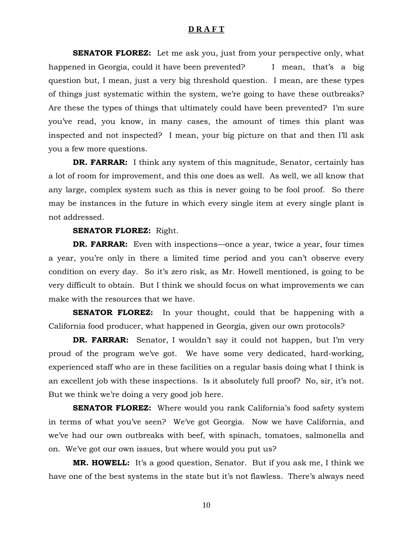**SENATOR FLOREZ:** Let me ask you, just from your perspective only, what happened in Georgia, could it have been prevented? I mean, that's a big question but, I mean, just a very big threshold question. I mean, are these types of things just systematic within the system, we're going to have these outbreaks? Are these the types of things that ultimately could have been prevented? I'm sure you've read, you know, in many cases, the amount of times this plant was inspected and not inspected? I mean, your big picture on that and then I'll ask you a few more questions.

**DR. FARRAR:** I think any system of this magnitude, Senator, certainly has a lot of room for improvement, and this one does as well. As well, we all know that any large, complex system such as this is never going to be fool proof. So there may be instances in the future in which every single item at every single plant is not addressed.

#### **SENATOR FLOREZ:** Right.

**DR. FARRAR:** Even with inspections—once a year, twice a year, four times a year, you're only in there a limited time period and you can't observe every condition on every day. So it's zero risk, as Mr. Howell mentioned, is going to be very difficult to obtain. But I think we should focus on what improvements we can make with the resources that we have.

**SENATOR FLOREZ:** In your thought, could that be happening with a California food producer, what happened in Georgia, given our own protocols?

**DR. FARRAR:** Senator, I wouldn't say it could not happen, but I'm very proud of the program we've got. We have some very dedicated, hard-working, experienced staff who are in these facilities on a regular basis doing what I think is an excellent job with these inspections. Is it absolutely full proof? No, sir, it's not. But we think we're doing a very good job here.

**SENATOR FLOREZ:** Where would you rank California's food safety system in terms of what you've seen? We've got Georgia. Now we have California, and we've had our own outbreaks with beef, with spinach, tomatoes, salmonella and on. We've got our own issues, but where would you put us?

**MR. HOWELL:** It's a good question, Senator. But if you ask me, I think we have one of the best systems in the state but it's not flawless. There's always need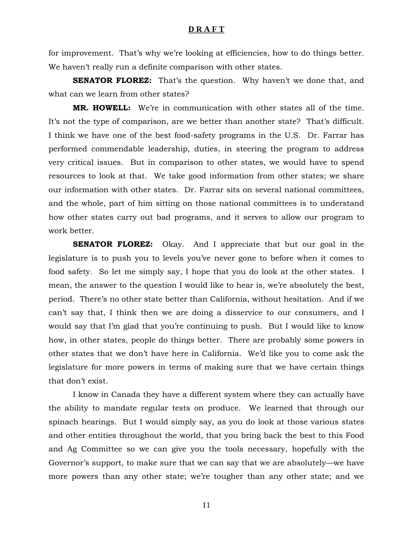for improvement. That's why we're looking at efficiencies, how to do things better. We haven't really run a definite comparison with other states.

**SENATOR FLOREZ:** That's the question. Why haven't we done that, and what can we learn from other states?

**MR. HOWELL:** We're in communication with other states all of the time. It's not the type of comparison, are we better than another state? That's difficult. I think we have one of the best food-safety programs in the U.S. Dr. Farrar has performed commendable leadership, duties, in steering the program to address very critical issues. But in comparison to other states, we would have to spend resources to look at that. We take good information from other states; we share our information with other states. Dr. Farrar sits on several national committees, and the whole, part of him sitting on those national committees is to understand how other states carry out bad programs, and it serves to allow our program to work better.

**SENATOR FLOREZ:** Okay. And I appreciate that but our goal in the legislature is to push you to levels you've never gone to before when it comes to food safety. So let me simply say, I hope that you do look at the other states. I mean, the answer to the question I would like to hear is, we're absolutely the best, period. There's no other state better than California, without hesitation. And if we can't say that, I think then we are doing a disservice to our consumers, and I would say that I'm glad that you're continuing to push. But I would like to know how, in other states, people do things better. There are probably some powers in other states that we don't have here in California. We'd like you to come ask the legislature for more powers in terms of making sure that we have certain things that don't exist.

I know in Canada they have a different system where they can actually have the ability to mandate regular tests on produce. We learned that through our spinach hearings. But I would simply say, as you do look at those various states and other entities throughout the world, that you bring back the best to this Food and Ag Committee so we can give you the tools necessary, hopefully with the Governor's support, to make sure that we can say that we are absolutely—we have more powers than any other state; we're tougher than any other state; and we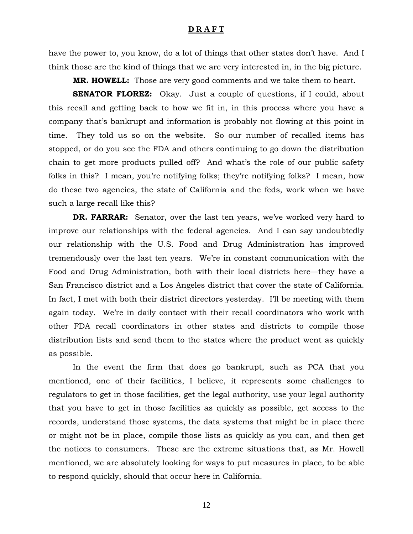have the power to, you know, do a lot of things that other states don't have. And I think those are the kind of things that we are very interested in, in the big picture.

**MR. HOWELL:** Those are very good comments and we take them to heart.

**SENATOR FLOREZ:** Okay. Just a couple of questions, if I could, about this recall and getting back to how we fit in, in this process where you have a company that's bankrupt and information is probably not flowing at this point in time. They told us so on the website. So our number of recalled items has stopped, or do you see the FDA and others continuing to go down the distribution chain to get more products pulled off? And what's the role of our public safety folks in this? I mean, you're notifying folks; they're notifying folks? I mean, how do these two agencies, the state of California and the feds, work when we have such a large recall like this?

**DR. FARRAR:** Senator, over the last ten years, we've worked very hard to improve our relationships with the federal agencies. And I can say undoubtedly our relationship with the U.S. Food and Drug Administration has improved tremendously over the last ten years. We're in constant communication with the Food and Drug Administration, both with their local districts here—they have a San Francisco district and a Los Angeles district that cover the state of California. In fact, I met with both their district directors yesterday. I'll be meeting with them again today. We're in daily contact with their recall coordinators who work with other FDA recall coordinators in other states and districts to compile those distribution lists and send them to the states where the product went as quickly as possible.

 In the event the firm that does go bankrupt, such as PCA that you mentioned, one of their facilities, I believe, it represents some challenges to regulators to get in those facilities, get the legal authority, use your legal authority that you have to get in those facilities as quickly as possible, get access to the records, understand those systems, the data systems that might be in place there or might not be in place, compile those lists as quickly as you can, and then get the notices to consumers. These are the extreme situations that, as Mr. Howell mentioned, we are absolutely looking for ways to put measures in place, to be able to respond quickly, should that occur here in California.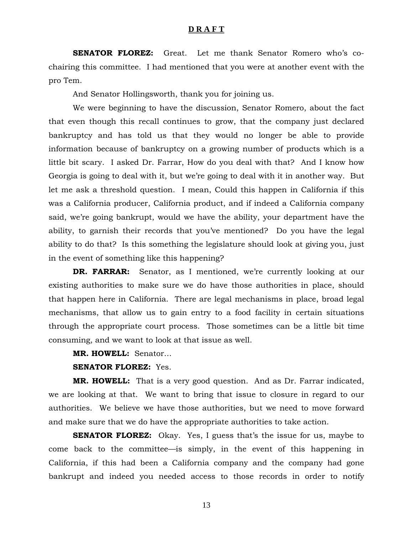**SENATOR FLOREZ:** Great. Let me thank Senator Romero who's cochairing this committee. I had mentioned that you were at another event with the pro Tem.

And Senator Hollingsworth, thank you for joining us.

We were beginning to have the discussion, Senator Romero, about the fact that even though this recall continues to grow, that the company just declared bankruptcy and has told us that they would no longer be able to provide information because of bankruptcy on a growing number of products which is a little bit scary. I asked Dr. Farrar, How do you deal with that? And I know how Georgia is going to deal with it, but we're going to deal with it in another way. But let me ask a threshold question. I mean, Could this happen in California if this was a California producer, California product, and if indeed a California company said, we're going bankrupt, would we have the ability, your department have the ability, to garnish their records that you've mentioned? Do you have the legal ability to do that? Is this something the legislature should look at giving you, just in the event of something like this happening?

**DR. FARRAR:** Senator, as I mentioned, we're currently looking at our existing authorities to make sure we do have those authorities in place, should that happen here in California. There are legal mechanisms in place, broad legal mechanisms, that allow us to gain entry to a food facility in certain situations through the appropriate court process. Those sometimes can be a little bit time consuming, and we want to look at that issue as well.

**MR. HOWELL:** Senator…

#### **SENATOR FLOREZ:** Yes.

**MR. HOWELL:** That is a very good question. And as Dr. Farrar indicated, we are looking at that. We want to bring that issue to closure in regard to our authorities. We believe we have those authorities, but we need to move forward and make sure that we do have the appropriate authorities to take action.

**SENATOR FLOREZ:** Okay. Yes, I guess that's the issue for us, maybe to come back to the committee—is simply, in the event of this happening in California, if this had been a California company and the company had gone bankrupt and indeed you needed access to those records in order to notify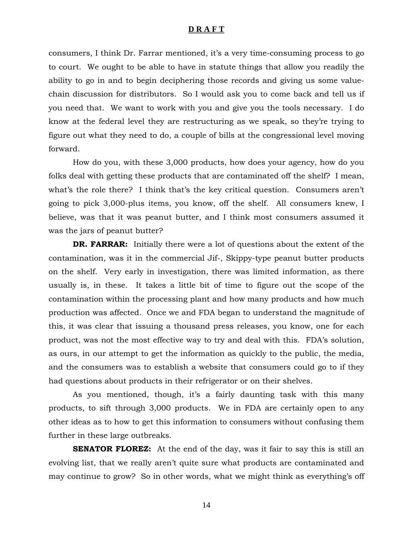consumers, I think Dr. Farrar mentioned, it's a very time-consuming process to go to court. We ought to be able to have in statute things that allow you readily the ability to go in and to begin deciphering those records and giving us some valuechain discussion for distributors. So I would ask you to come back and tell us if you need that. We want to work with you and give you the tools necessary. I do know at the federal level they are restructuring as we speak, so they're trying to figure out what they need to do, a couple of bills at the congressional level moving forward.

How do you, with these 3,000 products, how does your agency, how do you folks deal with getting these products that are contaminated off the shelf? I mean, what's the role there? I think that's the key critical question. Consumers aren't going to pick 3,000-plus items, you know, off the shelf. All consumers knew, I believe, was that it was peanut butter, and I think most consumers assumed it was the jars of peanut butter?

**DR. FARRAR:** Initially there were a lot of questions about the extent of the contamination, was it in the commercial Jif-, Skippy-type peanut butter products on the shelf. Very early in investigation, there was limited information, as there usually is, in these. It takes a little bit of time to figure out the scope of the contamination within the processing plant and how many products and how much production was affected. Once we and FDA began to understand the magnitude of this, it was clear that issuing a thousand press releases, you know, one for each product, was not the most effective way to try and deal with this. FDA's solution, as ours, in our attempt to get the information as quickly to the public, the media, and the consumers was to establish a website that consumers could go to if they had questions about products in their refrigerator or on their shelves.

As you mentioned, though, it's a fairly daunting task with this many products, to sift through 3,000 products. We in FDA are certainly open to any other ideas as to how to get this information to consumers without confusing them further in these large outbreaks.

**SENATOR FLOREZ:** At the end of the day, was it fair to say this is still an evolving list, that we really aren't quite sure what products are contaminated and may continue to grow? So in other words, what we might think as everything's off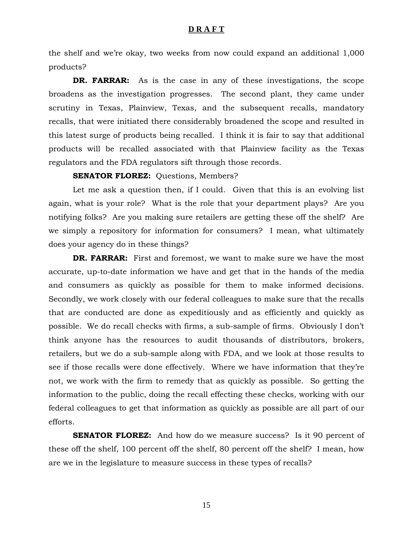the shelf and we're okay, two weeks from now could expand an additional 1,000 products?

**DR. FARRAR:** As is the case in any of these investigations, the scope broadens as the investigation progresses. The second plant, they came under scrutiny in Texas, Plainview, Texas, and the subsequent recalls, mandatory recalls, that were initiated there considerably broadened the scope and resulted in this latest surge of products being recalled. I think it is fair to say that additional products will be recalled associated with that Plainview facility as the Texas regulators and the FDA regulators sift through those records.

#### **SENATOR FLOREZ:** Ouestions, Members?

 Let me ask a question then, if I could. Given that this is an evolving list again, what is your role? What is the role that your department plays? Are you notifying folks? Are you making sure retailers are getting these off the shelf? Are we simply a repository for information for consumers? I mean, what ultimately does your agency do in these things?

**DR. FARRAR:** First and foremost, we want to make sure we have the most accurate, up-to-date information we have and get that in the hands of the media and consumers as quickly as possible for them to make informed decisions. Secondly, we work closely with our federal colleagues to make sure that the recalls that are conducted are done as expeditiously and as efficiently and quickly as possible. We do recall checks with firms, a sub-sample of firms. Obviously I don't think anyone has the resources to audit thousands of distributors, brokers, retailers, but we do a sub-sample along with FDA, and we look at those results to see if those recalls were done effectively. Where we have information that they're not, we work with the firm to remedy that as quickly as possible. So getting the information to the public, doing the recall effecting these checks, working with our federal colleagues to get that information as quickly as possible are all part of our efforts.

**SENATOR FLOREZ:** And how do we measure success? Is it 90 percent of these off the shelf, 100 percent off the shelf, 80 percent off the shelf? I mean, how are we in the legislature to measure success in these types of recalls?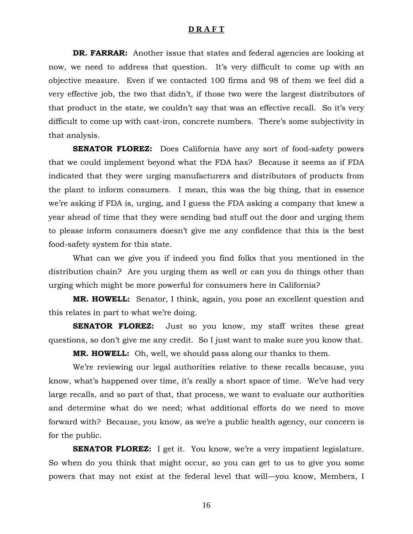**DR. FARRAR:** Another issue that states and federal agencies are looking at now, we need to address that question. It's very difficult to come up with an objective measure. Even if we contacted 100 firms and 98 of them we feel did a very effective job, the two that didn't, if those two were the largest distributors of that product in the state, we couldn't say that was an effective recall. So it's very difficult to come up with cast-iron, concrete numbers. There's some subjectivity in that analysis.

**SENATOR FLOREZ:** Does California have any sort of food-safety powers that we could implement beyond what the FDA has? Because it seems as if FDA indicated that they were urging manufacturers and distributors of products from the plant to inform consumers. I mean, this was the big thing, that in essence we're asking if FDA is, urging, and I guess the FDA asking a company that knew a year ahead of time that they were sending bad stuff out the door and urging them to please inform consumers doesn't give me any confidence that this is the best food-safety system for this state.

 What can we give you if indeed you find folks that you mentioned in the distribution chain? Are you urging them as well or can you do things other than urging which might be more powerful for consumers here in California?

**MR. HOWELL:** Senator, I think, again, you pose an excellent question and this relates in part to what we're doing.

**SENATOR FLOREZ:** Just so you know, my staff writes these great questions, so don't give me any credit. So I just want to make sure you know that.

**MR. HOWELL:** Oh, well, we should pass along our thanks to them.

 We're reviewing our legal authorities relative to these recalls because, you know, what's happened over time, it's really a short space of time. We've had very large recalls, and so part of that, that process, we want to evaluate our authorities and determine what do we need; what additional efforts do we need to move forward with? Because, you know, as we're a public health agency, our concern is for the public.

**SENATOR FLOREZ:** I get it. You know, we're a very impatient legislature. So when do you think that might occur, so you can get to us to give you some powers that may not exist at the federal level that will—you know, Members, I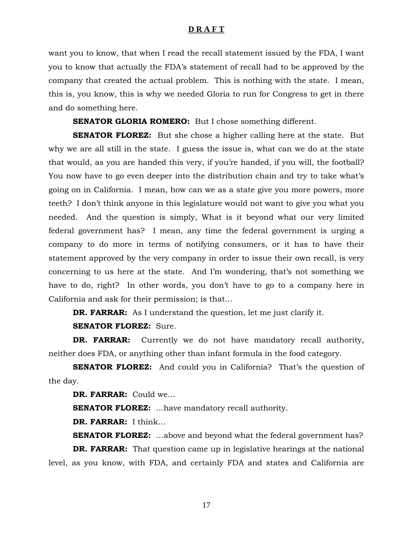want you to know, that when I read the recall statement issued by the FDA, I want you to know that actually the FDA's statement of recall had to be approved by the company that created the actual problem. This is nothing with the state. I mean, this is, you know, this is why we needed Gloria to run for Congress to get in there and do something here.

**SENATOR GLORIA ROMERO:** But I chose something different.

**SENATOR FLOREZ:** But she chose a higher calling here at the state. But why we are all still in the state. I guess the issue is, what can we do at the state that would, as you are handed this very, if you're handed, if you will, the football? You now have to go even deeper into the distribution chain and try to take what's going on in California. I mean, how can we as a state give you more powers, more teeth? I don't think anyone in this legislature would not want to give you what you needed. And the question is simply, What is it beyond what our very limited federal government has? I mean, any time the federal government is urging a company to do more in terms of notifying consumers, or it has to have their statement approved by the very company in order to issue their own recall, is very concerning to us here at the state. And I'm wondering, that's not something we have to do, right? In other words, you don't have to go to a company here in California and ask for their permission; is that…

**DR. FARRAR:** As I understand the question, let me just clarify it.

**SENATOR FLOREZ:** Sure.

**DR. FARRAR:** Currently we do not have mandatory recall authority, neither does FDA, or anything other than infant formula in the food category.

**SENATOR FLOREZ:** And could you in California? That's the question of the day.

**DR. FARRAR:** Could we…

**SENATOR FLOREZ:** …have mandatory recall authority.

**DR. FARRAR:** I think…

**SENATOR FLOREZ:** ...above and beyond what the federal government has? **DR. FARRAR:** That question came up in legislative hearings at the national level, as you know, with FDA, and certainly FDA and states and California are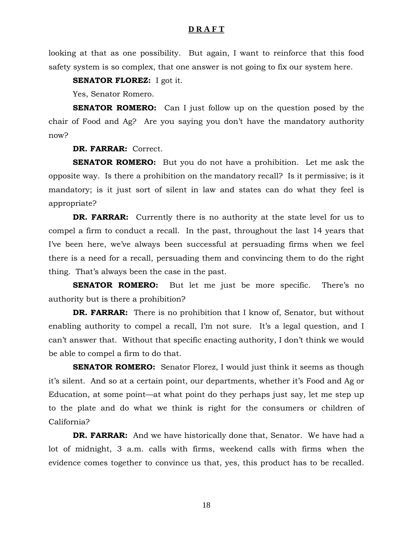looking at that as one possibility. But again, I want to reinforce that this food safety system is so complex, that one answer is not going to fix our system here.

**SENATOR FLOREZ:** I got it.

Yes, Senator Romero.

**SENATOR ROMERO:** Can I just follow up on the question posed by the chair of Food and Ag? Are you saying you don't have the mandatory authority now?

## **DR. FARRAR:** Correct.

**SENATOR ROMERO:** But you do not have a prohibition. Let me ask the opposite way. Is there a prohibition on the mandatory recall? Is it permissive; is it mandatory; is it just sort of silent in law and states can do what they feel is appropriate?

**DR. FARRAR:** Currently there is no authority at the state level for us to compel a firm to conduct a recall. In the past, throughout the last 14 years that I've been here, we've always been successful at persuading firms when we feel there is a need for a recall, persuading them and convincing them to do the right thing. That's always been the case in the past.

**SENATOR ROMERO:** But let me just be more specific. There's no authority but is there a prohibition?

**DR. FARRAR:** There is no prohibition that I know of, Senator, but without enabling authority to compel a recall, I'm not sure. It's a legal question, and I can't answer that. Without that specific enacting authority, I don't think we would be able to compel a firm to do that.

**SENATOR ROMERO:** Senator Florez, I would just think it seems as though it's silent. And so at a certain point, our departments, whether it's Food and Ag or Education, at some point—at what point do they perhaps just say, let me step up to the plate and do what we think is right for the consumers or children of California?

**DR. FARRAR:** And we have historically done that, Senator. We have had a lot of midnight, 3 a.m. calls with firms, weekend calls with firms when the evidence comes together to convince us that, yes, this product has to be recalled.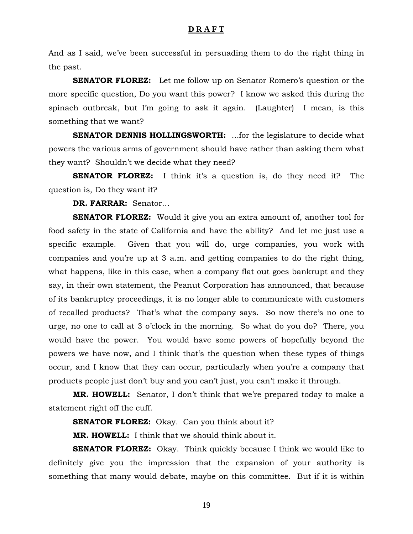And as I said, we've been successful in persuading them to do the right thing in the past.

**SENATOR FLOREZ:** Let me follow up on Senator Romero's question or the more specific question, Do you want this power? I know we asked this during the spinach outbreak, but I'm going to ask it again. (Laughter) I mean, is this something that we want?

**SENATOR DENNIS HOLLINGSWORTH:** ...for the legislature to decide what powers the various arms of government should have rather than asking them what they want? Shouldn't we decide what they need?

**SENATOR FLOREZ:** I think it's a question is, do they need it? The question is, Do they want it?

**DR. FARRAR:** Senator…

**SENATOR FLOREZ:** Would it give you an extra amount of, another tool for food safety in the state of California and have the ability? And let me just use a specific example. Given that you will do, urge companies, you work with companies and you're up at 3 a.m. and getting companies to do the right thing, what happens, like in this case, when a company flat out goes bankrupt and they say, in their own statement, the Peanut Corporation has announced, that because of its bankruptcy proceedings, it is no longer able to communicate with customers of recalled products? That's what the company says. So now there's no one to urge, no one to call at 3 o'clock in the morning. So what do you do? There, you would have the power. You would have some powers of hopefully beyond the powers we have now, and I think that's the question when these types of things occur, and I know that they can occur, particularly when you're a company that products people just don't buy and you can't just, you can't make it through.

**MR. HOWELL:** Senator, I don't think that we're prepared today to make a statement right off the cuff.

**SENATOR FLOREZ:** Okay. Can you think about it?

**MR. HOWELL:** I think that we should think about it.

**SENATOR FLOREZ:** Okay. Think quickly because I think we would like to definitely give you the impression that the expansion of your authority is something that many would debate, maybe on this committee. But if it is within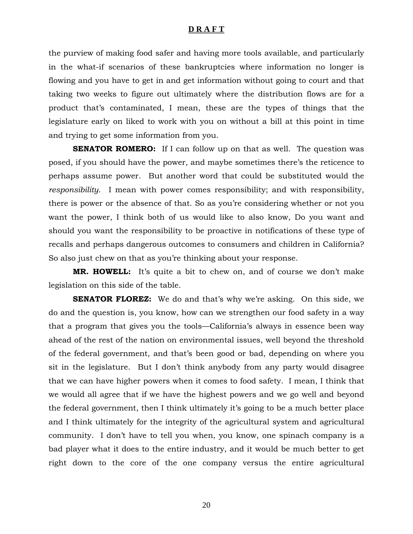the purview of making food safer and having more tools available, and particularly in the what-if scenarios of these bankruptcies where information no longer is flowing and you have to get in and get information without going to court and that taking two weeks to figure out ultimately where the distribution flows are for a product that's contaminated, I mean, these are the types of things that the legislature early on liked to work with you on without a bill at this point in time and trying to get some information from you.

**SENATOR ROMERO:** If I can follow up on that as well. The question was posed, if you should have the power, and maybe sometimes there's the reticence to perhaps assume power. But another word that could be substituted would the *responsibility*. I mean with power comes responsibility; and with responsibility, there is power or the absence of that. So as you're considering whether or not you want the power, I think both of us would like to also know, Do you want and should you want the responsibility to be proactive in notifications of these type of recalls and perhaps dangerous outcomes to consumers and children in California? So also just chew on that as you're thinking about your response.

**MR. HOWELL:** It's quite a bit to chew on, and of course we don't make legislation on this side of the table.

**SENATOR FLOREZ:** We do and that's why we're asking. On this side, we do and the question is, you know, how can we strengthen our food safety in a way that a program that gives you the tools—California's always in essence been way ahead of the rest of the nation on environmental issues, well beyond the threshold of the federal government, and that's been good or bad, depending on where you sit in the legislature. But I don't think anybody from any party would disagree that we can have higher powers when it comes to food safety. I mean, I think that we would all agree that if we have the highest powers and we go well and beyond the federal government, then I think ultimately it's going to be a much better place and I think ultimately for the integrity of the agricultural system and agricultural community. I don't have to tell you when, you know, one spinach company is a bad player what it does to the entire industry, and it would be much better to get right down to the core of the one company versus the entire agricultural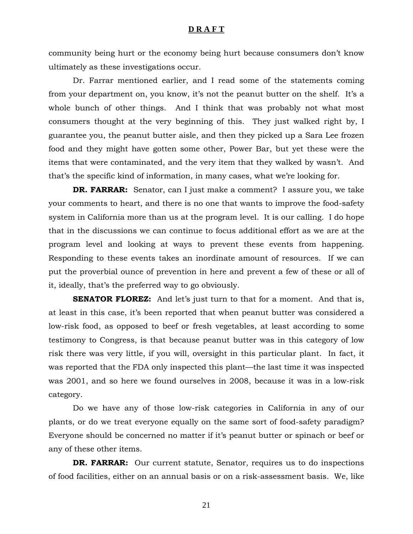community being hurt or the economy being hurt because consumers don't know ultimately as these investigations occur.

 Dr. Farrar mentioned earlier, and I read some of the statements coming from your department on, you know, it's not the peanut butter on the shelf. It's a whole bunch of other things. And I think that was probably not what most consumers thought at the very beginning of this. They just walked right by, I guarantee you, the peanut butter aisle, and then they picked up a Sara Lee frozen food and they might have gotten some other, Power Bar, but yet these were the items that were contaminated, and the very item that they walked by wasn't. And that's the specific kind of information, in many cases, what we're looking for.

**DR. FARRAR:** Senator, can I just make a comment? I assure you, we take your comments to heart, and there is no one that wants to improve the food-safety system in California more than us at the program level. It is our calling. I do hope that in the discussions we can continue to focus additional effort as we are at the program level and looking at ways to prevent these events from happening. Responding to these events takes an inordinate amount of resources. If we can put the proverbial ounce of prevention in here and prevent a few of these or all of it, ideally, that's the preferred way to go obviously.

**SENATOR FLOREZ:** And let's just turn to that for a moment. And that is, at least in this case, it's been reported that when peanut butter was considered a low-risk food, as opposed to beef or fresh vegetables, at least according to some testimony to Congress, is that because peanut butter was in this category of low risk there was very little, if you will, oversight in this particular plant. In fact, it was reported that the FDA only inspected this plant—the last time it was inspected was 2001, and so here we found ourselves in 2008, because it was in a low-risk category.

 Do we have any of those low-risk categories in California in any of our plants, or do we treat everyone equally on the same sort of food-safety paradigm? Everyone should be concerned no matter if it's peanut butter or spinach or beef or any of these other items.

**DR. FARRAR:** Our current statute, Senator, requires us to do inspections of food facilities, either on an annual basis or on a risk-assessment basis. We, like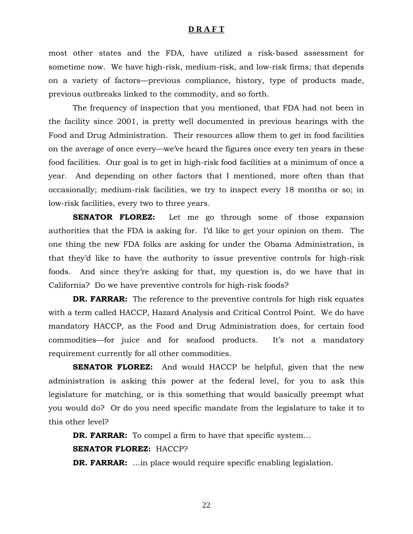most other states and the FDA, have utilized a risk-based assessment for sometime now. We have high-risk, medium-risk, and low-risk firms; that depends on a variety of factors—previous compliance, history, type of products made, previous outbreaks linked to the commodity, and so forth.

 The frequency of inspection that you mentioned, that FDA had not been in the facility since 2001, is pretty well documented in previous hearings with the Food and Drug Administration. Their resources allow them to get in food facilities on the average of once every—we've heard the figures once every ten years in these food facilities. Our goal is to get in high-risk food facilities at a minimum of once a year. And depending on other factors that I mentioned, more often than that occasionally; medium-risk facilities, we try to inspect every 18 months or so; in low-risk facilities, every two to three years.

**SENATOR FLOREZ:** Let me go through some of those expansion authorities that the FDA is asking for. I'd like to get your opinion on them. The one thing the new FDA folks are asking for under the Obama Administration, is that they'd like to have the authority to issue preventive controls for high-risk foods. And since they're asking for that, my question is, do we have that in California? Do we have preventive controls for high-risk foods?

**DR. FARRAR:** The reference to the preventive controls for high risk equates with a term called HACCP, Hazard Analysis and Critical Control Point. We do have mandatory HACCP, as the Food and Drug Administration does, for certain food commodities—for juice and for seafood products. It's not a mandatory requirement currently for all other commodities.

**SENATOR FLOREZ:** And would HACCP be helpful, given that the new administration is asking this power at the federal level, for you to ask this legislature for matching, or is this something that would basically preempt what you would do? Or do you need specific mandate from the legislature to take it to this other level?

**DR. FARRAR:** To compel a firm to have that specific system...

#### **SENATOR FLOREZ:** HACCP?

**DR. FARRAR:** ...in place would require specific enabling legislation.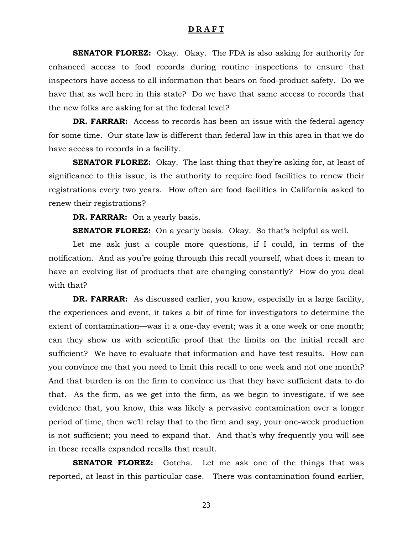**SENATOR FLOREZ:** Okay. Okay. The FDA is also asking for authority for enhanced access to food records during routine inspections to ensure that inspectors have access to all information that bears on food-product safety. Do we have that as well here in this state? Do we have that same access to records that the new folks are asking for at the federal level?

**DR. FARRAR:** Access to records has been an issue with the federal agency for some time. Our state law is different than federal law in this area in that we do have access to records in a facility.

**SENATOR FLOREZ:** Okay. The last thing that they're asking for, at least of significance to this issue, is the authority to require food facilities to renew their registrations every two years. How often are food facilities in California asked to renew their registrations?

**DR. FARRAR:** On a yearly basis.

**SENATOR FLOREZ:** On a yearly basis. Okay. So that's helpful as well.

 Let me ask just a couple more questions, if I could, in terms of the notification. And as you're going through this recall yourself, what does it mean to have an evolving list of products that are changing constantly? How do you deal with that?

**DR. FARRAR:** As discussed earlier, you know, especially in a large facility, the experiences and event, it takes a bit of time for investigators to determine the extent of contamination—was it a one-day event; was it a one week or one month; can they show us with scientific proof that the limits on the initial recall are sufficient? We have to evaluate that information and have test results. How can you convince me that you need to limit this recall to one week and not one month? And that burden is on the firm to convince us that they have sufficient data to do that. As the firm, as we get into the firm, as we begin to investigate, if we see evidence that, you know, this was likely a pervasive contamination over a longer period of time, then we'll relay that to the firm and say, your one-week production is not sufficient; you need to expand that. And that's why frequently you will see in these recalls expanded recalls that result.

**SENATOR FLOREZ:** Gotcha. Let me ask one of the things that was reported, at least in this particular case. There was contamination found earlier,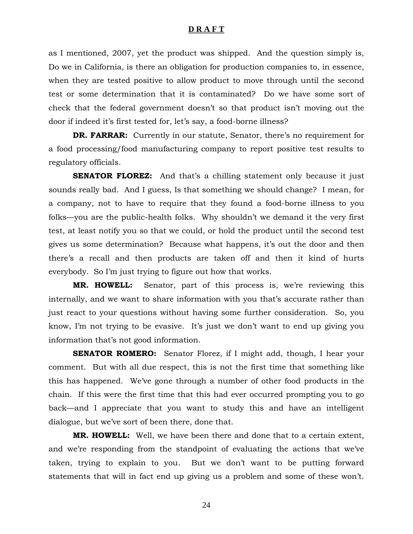as I mentioned, 2007, yet the product was shipped. And the question simply is, Do we in California, is there an obligation for production companies to, in essence, when they are tested positive to allow product to move through until the second test or some determination that it is contaminated? Do we have some sort of check that the federal government doesn't so that product isn't moving out the door if indeed it's first tested for, let's say, a food-borne illness?

**DR. FARRAR:** Currently in our statute, Senator, there's no requirement for a food processing/food manufacturing company to report positive test results to regulatory officials.

**SENATOR FLOREZ:** And that's a chilling statement only because it just sounds really bad. And I guess, Is that something we should change? I mean, for a company, not to have to require that they found a food-borne illness to you folks—you are the public-health folks. Why shouldn't we demand it the very first test, at least notify you so that we could, or hold the product until the second test gives us some determination? Because what happens, it's out the door and then there's a recall and then products are taken off and then it kind of hurts everybody. So I'm just trying to figure out how that works.

**MR. HOWELL:** Senator, part of this process is, we're reviewing this internally, and we want to share information with you that's accurate rather than just react to your questions without having some further consideration. So, you know, I'm not trying to be evasive. It's just we don't want to end up giving you information that's not good information.

**SENATOR ROMERO:** Senator Florez, if I might add, though, I hear your comment. But with all due respect, this is not the first time that something like this has happened. We've gone through a number of other food products in the chain. If this were the first time that this had ever occurred prompting you to go back—and I appreciate that you want to study this and have an intelligent dialogue, but we've sort of been there, done that.

**MR. HOWELL:** Well, we have been there and done that to a certain extent, and we're responding from the standpoint of evaluating the actions that we've taken, trying to explain to you. But we don't want to be putting forward statements that will in fact end up giving us a problem and some of these won't.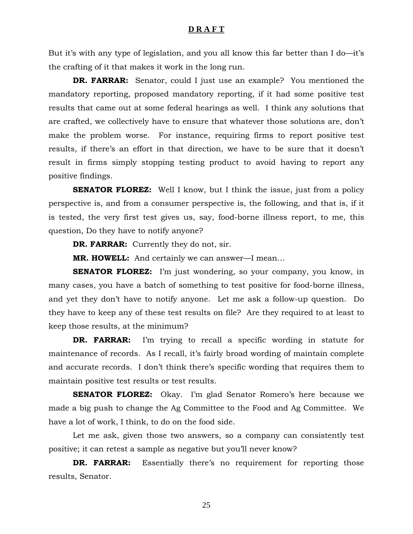But it's with any type of legislation, and you all know this far better than I do—it's the crafting of it that makes it work in the long run.

**DR. FARRAR:** Senator, could I just use an example? You mentioned the mandatory reporting, proposed mandatory reporting, if it had some positive test results that came out at some federal hearings as well. I think any solutions that are crafted, we collectively have to ensure that whatever those solutions are, don't make the problem worse. For instance, requiring firms to report positive test results, if there's an effort in that direction, we have to be sure that it doesn't result in firms simply stopping testing product to avoid having to report any positive findings.

**SENATOR FLOREZ:** Well I know, but I think the issue, just from a policy perspective is, and from a consumer perspective is, the following, and that is, if it is tested, the very first test gives us, say, food-borne illness report, to me, this question, Do they have to notify anyone?

**DR. FARRAR:** Currently they do not, sir.

**MR. HOWELL:** And certainly we can answer—I mean…

**SENATOR FLOREZ:** I'm just wondering, so your company, you know, in many cases, you have a batch of something to test positive for food-borne illness, and yet they don't have to notify anyone. Let me ask a follow-up question. Do they have to keep any of these test results on file? Are they required to at least to keep those results, at the minimum?

**DR. FARRAR:** I'm trying to recall a specific wording in statute for maintenance of records. As I recall, it's fairly broad wording of maintain complete and accurate records. I don't think there's specific wording that requires them to maintain positive test results or test results.

**SENATOR FLOREZ:** Okay. I'm glad Senator Romero's here because we made a big push to change the Ag Committee to the Food and Ag Committee. We have a lot of work, I think, to do on the food side.

 Let me ask, given those two answers, so a company can consistently test positive; it can retest a sample as negative but you'll never know?

**DR. FARRAR:** Essentially there's no requirement for reporting those results, Senator.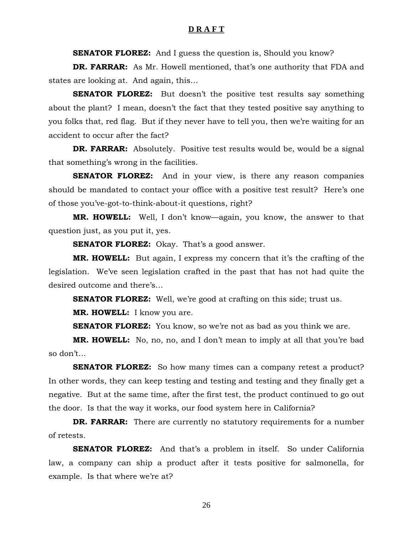**SENATOR FLOREZ:** And I guess the question is, Should you know?

**DR. FARRAR:** As Mr. Howell mentioned, that's one authority that FDA and states are looking at. And again, this…

**SENATOR FLOREZ:** But doesn't the positive test results say something about the plant? I mean, doesn't the fact that they tested positive say anything to you folks that, red flag. But if they never have to tell you, then we're waiting for an accident to occur after the fact?

**DR. FARRAR:** Absolutely. Positive test results would be, would be a signal that something's wrong in the facilities.

**SENATOR FLOREZ:** And in your view, is there any reason companies should be mandated to contact your office with a positive test result? Here's one of those you've-got-to-think-about-it questions, right?

**MR. HOWELL:** Well, I don't know—again, you know, the answer to that question just, as you put it, yes.

**SENATOR FLOREZ:** Okay. That's a good answer.

**MR. HOWELL:** But again, I express my concern that it's the crafting of the legislation. We've seen legislation crafted in the past that has not had quite the desired outcome and there's…

**SENATOR FLOREZ:** Well, we're good at crafting on this side; trust us.

**MR. HOWELL:** I know you are.

**SENATOR FLOREZ:** You know, so we're not as bad as you think we are.

**MR. HOWELL:** No, no, no, and I don't mean to imply at all that you're bad so don't…

**SENATOR FLOREZ:** So how many times can a company retest a product? In other words, they can keep testing and testing and testing and they finally get a negative. But at the same time, after the first test, the product continued to go out the door. Is that the way it works, our food system here in California?

**DR. FARRAR:** There are currently no statutory requirements for a number of retests.

**SENATOR FLOREZ:** And that's a problem in itself. So under California law, a company can ship a product after it tests positive for salmonella, for example. Is that where we're at?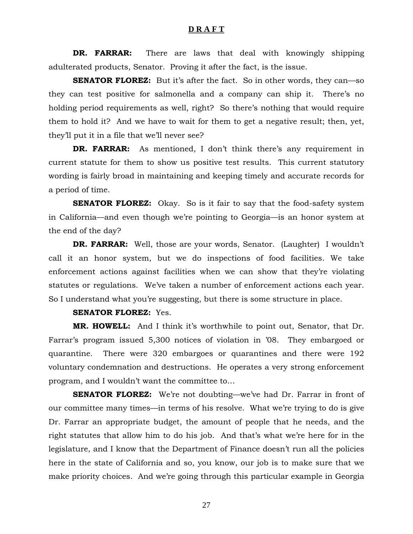**DR. FARRAR:** There are laws that deal with knowingly shipping adulterated products, Senator. Proving it after the fact, is the issue.

**SENATOR FLOREZ:** But it's after the fact. So in other words, they can—so they can test positive for salmonella and a company can ship it. There's no holding period requirements as well, right? So there's nothing that would require them to hold it? And we have to wait for them to get a negative result; then, yet, they'll put it in a file that we'll never see?

**DR. FARRAR:** As mentioned, I don't think there's any requirement in current statute for them to show us positive test results. This current statutory wording is fairly broad in maintaining and keeping timely and accurate records for a period of time.

**SENATOR FLOREZ:** Okay. So is it fair to say that the food-safety system in California—and even though we're pointing to Georgia—is an honor system at the end of the day?

**DR. FARRAR:** Well, those are your words, Senator. (Laughter) I wouldn't call it an honor system, but we do inspections of food facilities. We take enforcement actions against facilities when we can show that they're violating statutes or regulations. We've taken a number of enforcement actions each year. So I understand what you're suggesting, but there is some structure in place.

## **SENATOR FLOREZ:** Yes.

**MR. HOWELL:** And I think it's worthwhile to point out, Senator, that Dr. Farrar's program issued 5,300 notices of violation in '08. They embargoed or quarantine. There were 320 embargoes or quarantines and there were 192 voluntary condemnation and destructions. He operates a very strong enforcement program, and I wouldn't want the committee to…

**SENATOR FLOREZ:** We're not doubting—we've had Dr. Farrar in front of our committee many times—in terms of his resolve. What we're trying to do is give Dr. Farrar an appropriate budget, the amount of people that he needs, and the right statutes that allow him to do his job. And that's what we're here for in the legislature, and I know that the Department of Finance doesn't run all the policies here in the state of California and so, you know, our job is to make sure that we make priority choices. And we're going through this particular example in Georgia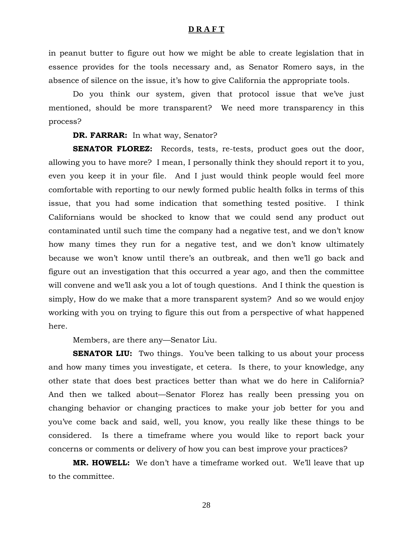in peanut butter to figure out how we might be able to create legislation that in essence provides for the tools necessary and, as Senator Romero says, in the absence of silence on the issue, it's how to give California the appropriate tools.

 Do you think our system, given that protocol issue that we've just mentioned, should be more transparent? We need more transparency in this process?

**DR. FARRAR:** In what way, Senator?

**SENATOR FLOREZ:** Records, tests, re-tests, product goes out the door, allowing you to have more? I mean, I personally think they should report it to you, even you keep it in your file. And I just would think people would feel more comfortable with reporting to our newly formed public health folks in terms of this issue, that you had some indication that something tested positive. I think Californians would be shocked to know that we could send any product out contaminated until such time the company had a negative test, and we don't know how many times they run for a negative test, and we don't know ultimately because we won't know until there's an outbreak, and then we'll go back and figure out an investigation that this occurred a year ago, and then the committee will convene and we'll ask you a lot of tough questions. And I think the question is simply, How do we make that a more transparent system? And so we would enjoy working with you on trying to figure this out from a perspective of what happened here.

Members, are there any—Senator Liu.

**SENATOR LIU:** Two things. You've been talking to us about your process and how many times you investigate, et cetera. Is there, to your knowledge, any other state that does best practices better than what we do here in California? And then we talked about—Senator Florez has really been pressing you on changing behavior or changing practices to make your job better for you and you've come back and said, well, you know, you really like these things to be considered. Is there a timeframe where you would like to report back your concerns or comments or delivery of how you can best improve your practices?

**MR. HOWELL:** We don't have a timeframe worked out. We'll leave that up to the committee.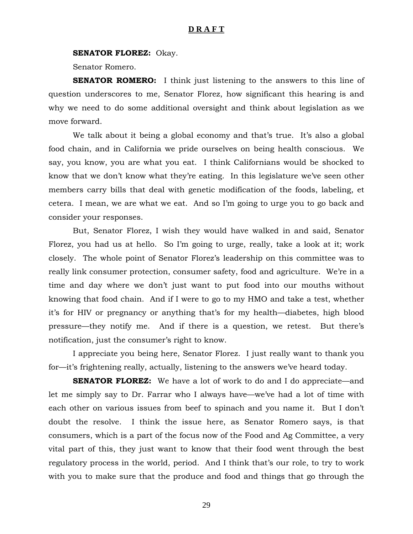#### **SENATOR FLOREZ:** Okay.

Senator Romero.

**SENATOR ROMERO:** I think just listening to the answers to this line of question underscores to me, Senator Florez, how significant this hearing is and why we need to do some additional oversight and think about legislation as we move forward.

 We talk about it being a global economy and that's true. It's also a global food chain, and in California we pride ourselves on being health conscious. We say, you know, you are what you eat. I think Californians would be shocked to know that we don't know what they're eating. In this legislature we've seen other members carry bills that deal with genetic modification of the foods, labeling, et cetera. I mean, we are what we eat. And so I'm going to urge you to go back and consider your responses.

 But, Senator Florez, I wish they would have walked in and said, Senator Florez, you had us at hello. So I'm going to urge, really, take a look at it; work closely. The whole point of Senator Florez's leadership on this committee was to really link consumer protection, consumer safety, food and agriculture. We're in a time and day where we don't just want to put food into our mouths without knowing that food chain. And if I were to go to my HMO and take a test, whether it's for HIV or pregnancy or anything that's for my health—diabetes, high blood pressure—they notify me. And if there is a question, we retest. But there's notification, just the consumer's right to know.

 I appreciate you being here, Senator Florez. I just really want to thank you for—it's frightening really, actually, listening to the answers we've heard today.

**SENATOR FLOREZ:** We have a lot of work to do and I do appreciate—and let me simply say to Dr. Farrar who I always have—we've had a lot of time with each other on various issues from beef to spinach and you name it. But I don't doubt the resolve. I think the issue here, as Senator Romero says, is that consumers, which is a part of the focus now of the Food and Ag Committee, a very vital part of this, they just want to know that their food went through the best regulatory process in the world, period. And I think that's our role, to try to work with you to make sure that the produce and food and things that go through the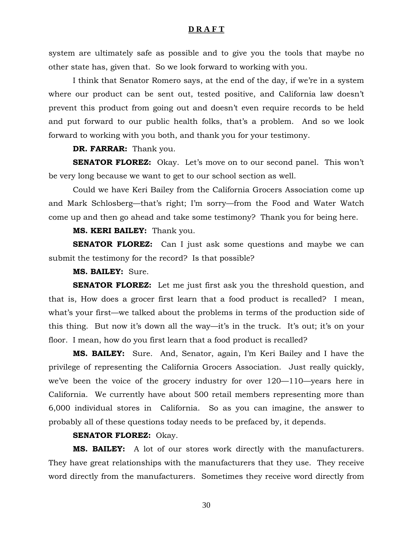system are ultimately safe as possible and to give you the tools that maybe no other state has, given that. So we look forward to working with you.

 I think that Senator Romero says, at the end of the day, if we're in a system where our product can be sent out, tested positive, and California law doesn't prevent this product from going out and doesn't even require records to be held and put forward to our public health folks, that's a problem. And so we look forward to working with you both, and thank you for your testimony.

## **DR. FARRAR:** Thank you.

**SENATOR FLOREZ:** Okay. Let's move on to our second panel. This won't be very long because we want to get to our school section as well.

 Could we have Keri Bailey from the California Grocers Association come up and Mark Schlosberg—that's right; I'm sorry—from the Food and Water Watch come up and then go ahead and take some testimony? Thank you for being here.

#### **MS. KERI BAILEY:** Thank you.

**SENATOR FLOREZ:** Can I just ask some questions and maybe we can submit the testimony for the record? Is that possible?

#### **MS. BAILEY:** Sure.

**SENATOR FLOREZ:** Let me just first ask you the threshold question, and that is, How does a grocer first learn that a food product is recalled? I mean, what's your first—we talked about the problems in terms of the production side of this thing. But now it's down all the way—it's in the truck. It's out; it's on your floor. I mean, how do you first learn that a food product is recalled?

**MS. BAILEY:** Sure. And, Senator, again, I'm Keri Bailey and I have the privilege of representing the California Grocers Association. Just really quickly, we've been the voice of the grocery industry for over 120—110—years here in California. We currently have about 500 retail members representing more than 6,000 individual stores in California. So as you can imagine, the answer to probably all of these questions today needs to be prefaced by, it depends.

#### **SENATOR FLOREZ:** Okay.

**MS. BAILEY:** A lot of our stores work directly with the manufacturers. They have great relationships with the manufacturers that they use. They receive word directly from the manufacturers. Sometimes they receive word directly from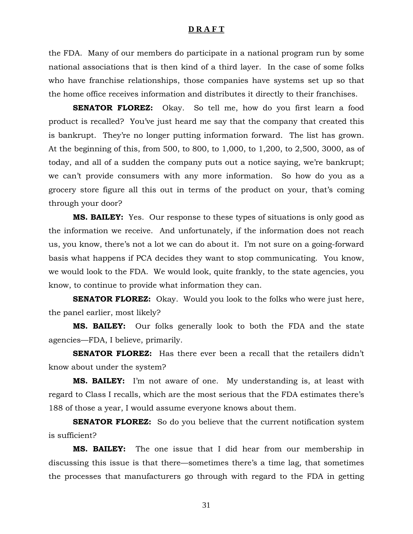the FDA. Many of our members do participate in a national program run by some national associations that is then kind of a third layer. In the case of some folks who have franchise relationships, those companies have systems set up so that the home office receives information and distributes it directly to their franchises.

**SENATOR FLOREZ:** Okay. So tell me, how do you first learn a food product is recalled? You've just heard me say that the company that created this is bankrupt. They're no longer putting information forward. The list has grown. At the beginning of this, from 500, to 800, to 1,000, to 1,200, to 2,500, 3000, as of today, and all of a sudden the company puts out a notice saying, we're bankrupt; we can't provide consumers with any more information. So how do you as a grocery store figure all this out in terms of the product on your, that's coming through your door?

**MS. BAILEY:** Yes. Our response to these types of situations is only good as the information we receive. And unfortunately, if the information does not reach us, you know, there's not a lot we can do about it. I'm not sure on a going-forward basis what happens if PCA decides they want to stop communicating. You know, we would look to the FDA. We would look, quite frankly, to the state agencies, you know, to continue to provide what information they can.

**SENATOR FLOREZ:** Okay. Would you look to the folks who were just here, the panel earlier, most likely?

**MS. BAILEY:** Our folks generally look to both the FDA and the state agencies—FDA, I believe, primarily.

**SENATOR FLOREZ:** Has there ever been a recall that the retailers didn't know about under the system?

**MS. BAILEY:** I'm not aware of one. My understanding is, at least with regard to Class I recalls, which are the most serious that the FDA estimates there's 188 of those a year, I would assume everyone knows about them.

**SENATOR FLOREZ:** So do you believe that the current notification system is sufficient?

**MS. BAILEY:** The one issue that I did hear from our membership in discussing this issue is that there—sometimes there's a time lag, that sometimes the processes that manufacturers go through with regard to the FDA in getting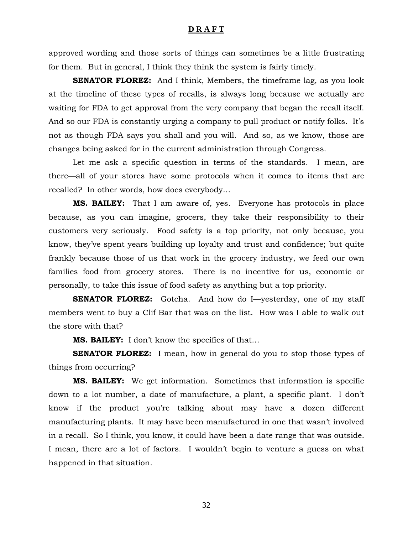approved wording and those sorts of things can sometimes be a little frustrating for them. But in general, I think they think the system is fairly timely.

**SENATOR FLOREZ:** And I think, Members, the timeframe lag, as you look at the timeline of these types of recalls, is always long because we actually are waiting for FDA to get approval from the very company that began the recall itself. And so our FDA is constantly urging a company to pull product or notify folks. It's not as though FDA says you shall and you will. And so, as we know, those are changes being asked for in the current administration through Congress.

 Let me ask a specific question in terms of the standards. I mean, are there—all of your stores have some protocols when it comes to items that are recalled? In other words, how does everybody…

**MS. BAILEY:** That I am aware of, yes. Everyone has protocols in place because, as you can imagine, grocers, they take their responsibility to their customers very seriously. Food safety is a top priority, not only because, you know, they've spent years building up loyalty and trust and confidence; but quite frankly because those of us that work in the grocery industry, we feed our own families food from grocery stores. There is no incentive for us, economic or personally, to take this issue of food safety as anything but a top priority.

**SENATOR FLOREZ:** Gotcha. And how do I—yesterday, one of my staff members went to buy a Clif Bar that was on the list. How was I able to walk out the store with that?

**MS. BAILEY:** I don't know the specifics of that…

**SENATOR FLOREZ:** I mean, how in general do you to stop those types of things from occurring?

**MS. BAILEY:** We get information. Sometimes that information is specific down to a lot number, a date of manufacture, a plant, a specific plant. I don't know if the product you're talking about may have a dozen different manufacturing plants. It may have been manufactured in one that wasn't involved in a recall. So I think, you know, it could have been a date range that was outside. I mean, there are a lot of factors. I wouldn't begin to venture a guess on what happened in that situation.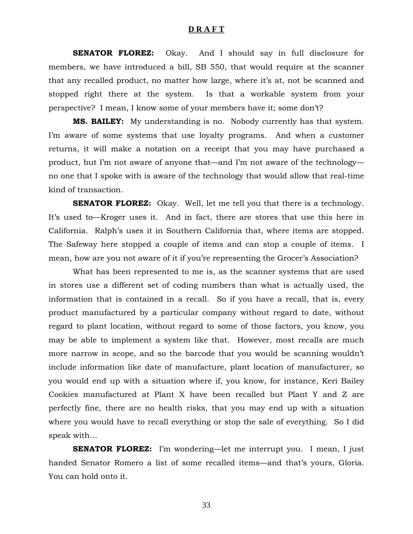**SENATOR FLOREZ:** Okay. And I should say in full disclosure for members, we have introduced a bill, SB 550, that would require at the scanner that any recalled product, no matter how large, where it's at, not be scanned and stopped right there at the system. Is that a workable system from your perspective? I mean, I know some of your members have it; some don't?

**MS. BAILEY:** My understanding is no. Nobody currently has that system. I'm aware of some systems that use loyalty programs. And when a customer returns, it will make a notation on a receipt that you may have purchased a product, but I'm not aware of anyone that—and I'm not aware of the technology no one that I spoke with is aware of the technology that would allow that real-time kind of transaction.

**SENATOR FLOREZ:** Okay. Well, let me tell you that there is a technology. It's used to—Kroger uses it. And in fact, there are stores that use this here in California. Ralph's uses it in Southern California that, where items are stopped. The Safeway here stopped a couple of items and can stop a couple of items. I mean, how are you not aware of it if you're representing the Grocer's Association?

 What has been represented to me is, as the scanner systems that are used in stores use a different set of coding numbers than what is actually used, the information that is contained in a recall. So if you have a recall, that is, every product manufactured by a particular company without regard to date, without regard to plant location, without regard to some of those factors, you know, you may be able to implement a system like that. However, most recalls are much more narrow in scope, and so the barcode that you would be scanning wouldn't include information like date of manufacture, plant location of manufacturer, so you would end up with a situation where if, you know, for instance, Keri Bailey Cookies manufactured at Plant X have been recalled but Plant Y and Z are perfectly fine, there are no health risks, that you may end up with a situation where you would have to recall everything or stop the sale of everything. So I did speak with…

**SENATOR FLOREZ:** I'm wondering—let me interrupt you. I mean, I just handed Senator Romero a list of some recalled items—and that's yours, Gloria. You can hold onto it.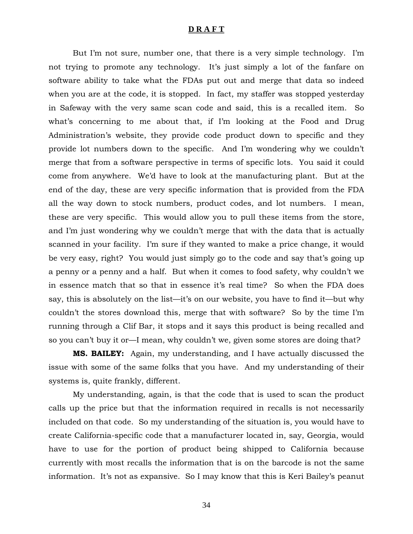But I'm not sure, number one, that there is a very simple technology. I'm not trying to promote any technology. It's just simply a lot of the fanfare on software ability to take what the FDAs put out and merge that data so indeed when you are at the code, it is stopped. In fact, my staffer was stopped yesterday in Safeway with the very same scan code and said, this is a recalled item. So what's concerning to me about that, if I'm looking at the Food and Drug Administration's website, they provide code product down to specific and they provide lot numbers down to the specific. And I'm wondering why we couldn't merge that from a software perspective in terms of specific lots. You said it could come from anywhere. We'd have to look at the manufacturing plant. But at the end of the day, these are very specific information that is provided from the FDA all the way down to stock numbers, product codes, and lot numbers. I mean, these are very specific. This would allow you to pull these items from the store, and I'm just wondering why we couldn't merge that with the data that is actually scanned in your facility. I'm sure if they wanted to make a price change, it would be very easy, right? You would just simply go to the code and say that's going up a penny or a penny and a half. But when it comes to food safety, why couldn't we in essence match that so that in essence it's real time? So when the FDA does say, this is absolutely on the list—it's on our website, you have to find it—but why couldn't the stores download this, merge that with software? So by the time I'm running through a Clif Bar, it stops and it says this product is being recalled and so you can't buy it or—I mean, why couldn't we, given some stores are doing that?

**MS. BAILEY:** Again, my understanding, and I have actually discussed the issue with some of the same folks that you have. And my understanding of their systems is, quite frankly, different.

 My understanding, again, is that the code that is used to scan the product calls up the price but that the information required in recalls is not necessarily included on that code. So my understanding of the situation is, you would have to create California-specific code that a manufacturer located in, say, Georgia, would have to use for the portion of product being shipped to California because currently with most recalls the information that is on the barcode is not the same information. It's not as expansive. So I may know that this is Keri Bailey's peanut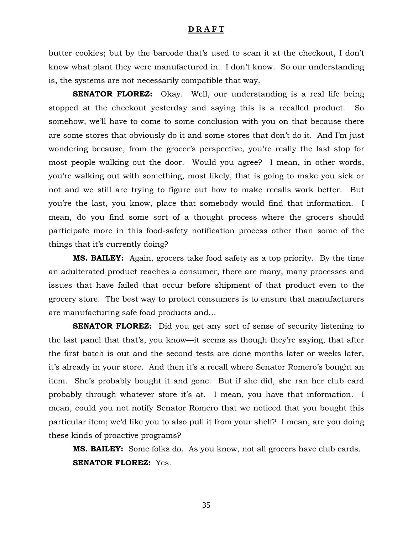butter cookies; but by the barcode that's used to scan it at the checkout, I don't know what plant they were manufactured in. I don't know. So our understanding is, the systems are not necessarily compatible that way.

**SENATOR FLOREZ:** Okay. Well, our understanding is a real life being stopped at the checkout yesterday and saying this is a recalled product. So somehow, we'll have to come to some conclusion with you on that because there are some stores that obviously do it and some stores that don't do it. And I'm just wondering because, from the grocer's perspective, you're really the last stop for most people walking out the door. Would you agree? I mean, in other words, you're walking out with something, most likely, that is going to make you sick or not and we still are trying to figure out how to make recalls work better. But you're the last, you know, place that somebody would find that information. I mean, do you find some sort of a thought process where the grocers should participate more in this food-safety notification process other than some of the things that it's currently doing?

**MS. BAILEY:** Again, grocers take food safety as a top priority. By the time an adulterated product reaches a consumer, there are many, many processes and issues that have failed that occur before shipment of that product even to the grocery store. The best way to protect consumers is to ensure that manufacturers are manufacturing safe food products and…

**SENATOR FLOREZ:** Did you get any sort of sense of security listening to the last panel that that's, you know—it seems as though they're saying, that after the first batch is out and the second tests are done months later or weeks later, it's already in your store. And then it's a recall where Senator Romero's bought an item. She's probably bought it and gone. But if she did, she ran her club card probably through whatever store it's at. I mean, you have that information. I mean, could you not notify Senator Romero that we noticed that you bought this particular item; we'd like you to also pull it from your shelf? I mean, are you doing these kinds of proactive programs?

**MS. BAILEY:** Some folks do. As you know, not all grocers have club cards. **SENATOR FLOREZ:** Yes.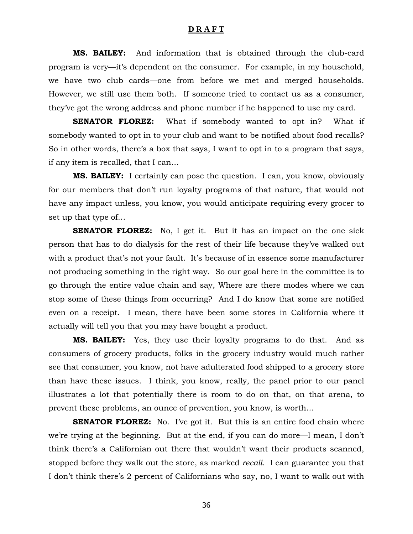**MS. BAILEY:** And information that is obtained through the club-card program is very—it's dependent on the consumer. For example, in my household, we have two club cards—one from before we met and merged households. However, we still use them both. If someone tried to contact us as a consumer, they've got the wrong address and phone number if he happened to use my card.

**SENATOR FLOREZ:** What if somebody wanted to opt in? What if somebody wanted to opt in to your club and want to be notified about food recalls? So in other words, there's a box that says, I want to opt in to a program that says, if any item is recalled, that I can…

**MS. BAILEY:** I certainly can pose the question. I can, you know, obviously for our members that don't run loyalty programs of that nature, that would not have any impact unless, you know, you would anticipate requiring every grocer to set up that type of…

**SENATOR FLOREZ:** No, I get it. But it has an impact on the one sick person that has to do dialysis for the rest of their life because they've walked out with a product that's not your fault. It's because of in essence some manufacturer not producing something in the right way. So our goal here in the committee is to go through the entire value chain and say, Where are there modes where we can stop some of these things from occurring? And I do know that some are notified even on a receipt. I mean, there have been some stores in California where it actually will tell you that you may have bought a product.

**MS. BAILEY:** Yes, they use their loyalty programs to do that. And as consumers of grocery products, folks in the grocery industry would much rather see that consumer, you know, not have adulterated food shipped to a grocery store than have these issues. I think, you know, really, the panel prior to our panel illustrates a lot that potentially there is room to do on that, on that arena, to prevent these problems, an ounce of prevention, you know, is worth…

**SENATOR FLOREZ:** No. I've got it. But this is an entire food chain where we're trying at the beginning. But at the end, if you can do more—I mean, I don't think there's a Californian out there that wouldn't want their products scanned, stopped before they walk out the store, as marked *recall*. I can guarantee you that I don't think there's 2 percent of Californians who say, no, I want to walk out with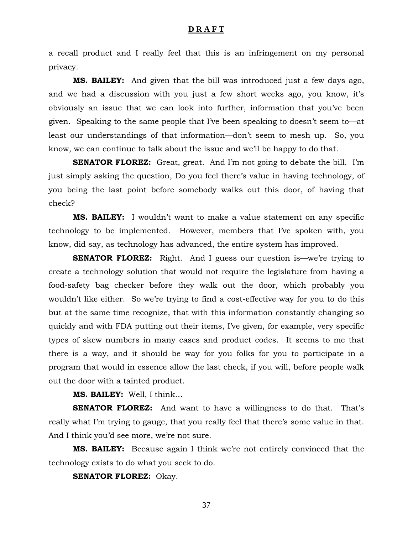a recall product and I really feel that this is an infringement on my personal privacy.

**MS. BAILEY:** And given that the bill was introduced just a few days ago, and we had a discussion with you just a few short weeks ago, you know, it's obviously an issue that we can look into further, information that you've been given. Speaking to the same people that I've been speaking to doesn't seem to—at least our understandings of that information—don't seem to mesh up. So, you know, we can continue to talk about the issue and we'll be happy to do that.

**SENATOR FLOREZ:** Great, great. And I'm not going to debate the bill. I'm just simply asking the question, Do you feel there's value in having technology, of you being the last point before somebody walks out this door, of having that check?

**MS. BAILEY:** I wouldn't want to make a value statement on any specific technology to be implemented. However, members that I've spoken with, you know, did say, as technology has advanced, the entire system has improved.

**SENATOR FLOREZ:** Right. And I guess our question is—we're trying to create a technology solution that would not require the legislature from having a food-safety bag checker before they walk out the door, which probably you wouldn't like either. So we're trying to find a cost-effective way for you to do this but at the same time recognize, that with this information constantly changing so quickly and with FDA putting out their items, I've given, for example, very specific types of skew numbers in many cases and product codes. It seems to me that there is a way, and it should be way for you folks for you to participate in a program that would in essence allow the last check, if you will, before people walk out the door with a tainted product.

#### **MS. BAILEY:** Well, I think…

**SENATOR FLOREZ:** And want to have a willingness to do that. That's really what I'm trying to gauge, that you really feel that there's some value in that. And I think you'd see more, we're not sure.

**MS. BAILEY:** Because again I think we're not entirely convinced that the technology exists to do what you seek to do.

**SENATOR FLOREZ:** Okay.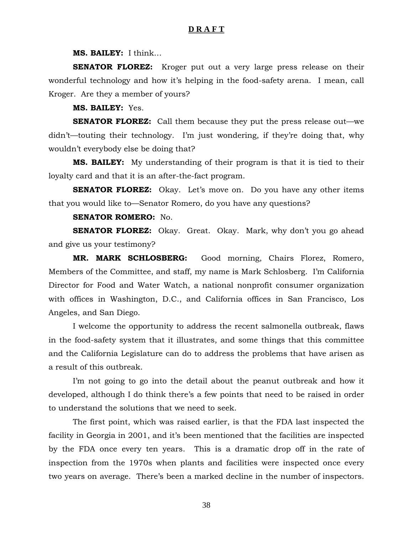**MS. BAILEY:** I think…

**SENATOR FLOREZ:** Kroger put out a very large press release on their wonderful technology and how it's helping in the food-safety arena. I mean, call Kroger. Are they a member of yours?

**MS. BAILEY:** Yes.

**SENATOR FLOREZ:** Call them because they put the press release out—we didn't—touting their technology. I'm just wondering, if they're doing that, why wouldn't everybody else be doing that?

**MS. BAILEY:** My understanding of their program is that it is tied to their loyalty card and that it is an after-the-fact program.

**SENATOR FLOREZ:** Okay. Let's move on. Do you have any other items that you would like to—Senator Romero, do you have any questions?

#### **SENATOR ROMERO:** No.

**SENATOR FLOREZ:** Okay. Great. Okay. Mark, why don't you go ahead and give us your testimony?

**MR. MARK SCHLOSBERG:** Good morning, Chairs Florez, Romero, Members of the Committee, and staff, my name is Mark Schlosberg. I'm California Director for Food and Water Watch, a national nonprofit consumer organization with offices in Washington, D.C., and California offices in San Francisco, Los Angeles, and San Diego.

 I welcome the opportunity to address the recent salmonella outbreak, flaws in the food-safety system that it illustrates, and some things that this committee and the California Legislature can do to address the problems that have arisen as a result of this outbreak.

 I'm not going to go into the detail about the peanut outbreak and how it developed, although I do think there's a few points that need to be raised in order to understand the solutions that we need to seek.

 The first point, which was raised earlier, is that the FDA last inspected the facility in Georgia in 2001, and it's been mentioned that the facilities are inspected by the FDA once every ten years. This is a dramatic drop off in the rate of inspection from the 1970s when plants and facilities were inspected once every two years on average. There's been a marked decline in the number of inspectors.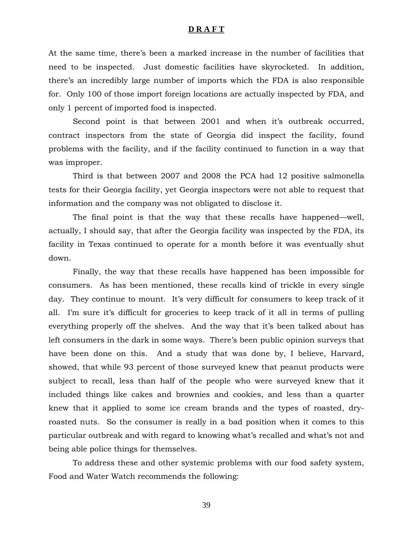At the same time, there's been a marked increase in the number of facilities that need to be inspected. Just domestic facilities have skyrocketed. In addition, there's an incredibly large number of imports which the FDA is also responsible for. Only 100 of those import foreign locations are actually inspected by FDA, and only 1 percent of imported food is inspected.

 Second point is that between 2001 and when it's outbreak occurred, contract inspectors from the state of Georgia did inspect the facility, found problems with the facility, and if the facility continued to function in a way that was improper.

 Third is that between 2007 and 2008 the PCA had 12 positive salmonella tests for their Georgia facility, yet Georgia inspectors were not able to request that information and the company was not obligated to disclose it.

 The final point is that the way that these recalls have happened—well, actually, I should say, that after the Georgia facility was inspected by the FDA, its facility in Texas continued to operate for a month before it was eventually shut down.

 Finally, the way that these recalls have happened has been impossible for consumers. As has been mentioned, these recalls kind of trickle in every single day. They continue to mount. It's very difficult for consumers to keep track of it all. I'm sure it's difficult for groceries to keep track of it all in terms of pulling everything properly off the shelves. And the way that it's been talked about has left consumers in the dark in some ways. There's been public opinion surveys that have been done on this. And a study that was done by, I believe, Harvard, showed, that while 93 percent of those surveyed knew that peanut products were subject to recall, less than half of the people who were surveyed knew that it included things like cakes and brownies and cookies, and less than a quarter knew that it applied to some ice cream brands and the types of roasted, dryroasted nuts. So the consumer is really in a bad position when it comes to this particular outbreak and with regard to knowing what's recalled and what's not and being able police things for themselves.

 To address these and other systemic problems with our food safety system, Food and Water Watch recommends the following: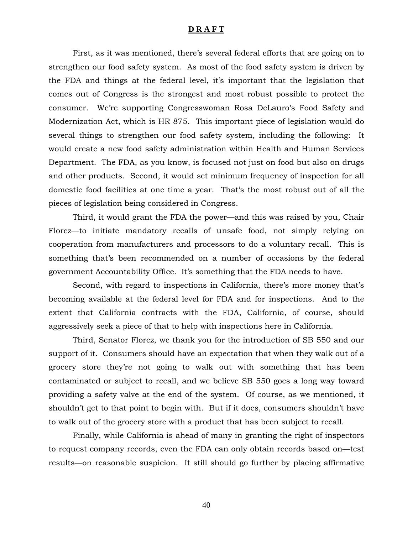First, as it was mentioned, there's several federal efforts that are going on to strengthen our food safety system. As most of the food safety system is driven by the FDA and things at the federal level, it's important that the legislation that comes out of Congress is the strongest and most robust possible to protect the consumer. We're supporting Congresswoman Rosa DeLauro's Food Safety and Modernization Act, which is HR 875. This important piece of legislation would do several things to strengthen our food safety system, including the following: It would create a new food safety administration within Health and Human Services Department. The FDA, as you know, is focused not just on food but also on drugs and other products. Second, it would set minimum frequency of inspection for all domestic food facilities at one time a year. That's the most robust out of all the pieces of legislation being considered in Congress.

 Third, it would grant the FDA the power—and this was raised by you, Chair Florez—to initiate mandatory recalls of unsafe food, not simply relying on cooperation from manufacturers and processors to do a voluntary recall. This is something that's been recommended on a number of occasions by the federal government Accountability Office. It's something that the FDA needs to have.

 Second, with regard to inspections in California, there's more money that's becoming available at the federal level for FDA and for inspections. And to the extent that California contracts with the FDA, California, of course, should aggressively seek a piece of that to help with inspections here in California.

 Third, Senator Florez, we thank you for the introduction of SB 550 and our support of it. Consumers should have an expectation that when they walk out of a grocery store they're not going to walk out with something that has been contaminated or subject to recall, and we believe SB 550 goes a long way toward providing a safety valve at the end of the system. Of course, as we mentioned, it shouldn't get to that point to begin with. But if it does, consumers shouldn't have to walk out of the grocery store with a product that has been subject to recall.

 Finally, while California is ahead of many in granting the right of inspectors to request company records, even the FDA can only obtain records based on—test results—on reasonable suspicion. It still should go further by placing affirmative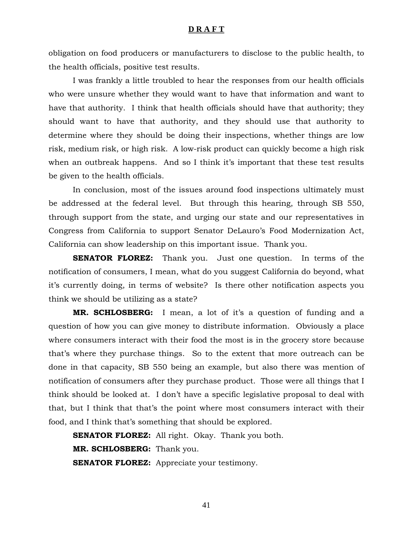obligation on food producers or manufacturers to disclose to the public health, to the health officials, positive test results.

 I was frankly a little troubled to hear the responses from our health officials who were unsure whether they would want to have that information and want to have that authority. I think that health officials should have that authority; they should want to have that authority, and they should use that authority to determine where they should be doing their inspections, whether things are low risk, medium risk, or high risk. A low-risk product can quickly become a high risk when an outbreak happens. And so I think it's important that these test results be given to the health officials.

 In conclusion, most of the issues around food inspections ultimately must be addressed at the federal level. But through this hearing, through SB 550, through support from the state, and urging our state and our representatives in Congress from California to support Senator DeLauro's Food Modernization Act, California can show leadership on this important issue. Thank you.

**SENATOR FLOREZ:** Thank you. Just one question. In terms of the notification of consumers, I mean, what do you suggest California do beyond, what it's currently doing, in terms of website? Is there other notification aspects you think we should be utilizing as a state?

**MR. SCHLOSBERG:** I mean, a lot of it's a question of funding and a question of how you can give money to distribute information. Obviously a place where consumers interact with their food the most is in the grocery store because that's where they purchase things. So to the extent that more outreach can be done in that capacity, SB 550 being an example, but also there was mention of notification of consumers after they purchase product. Those were all things that I think should be looked at. I don't have a specific legislative proposal to deal with that, but I think that that's the point where most consumers interact with their food, and I think that's something that should be explored.

**SENATOR FLOREZ:** All right. Okay. Thank you both. **MR. SCHLOSBERG:** Thank you. **SENATOR FLOREZ:** Appreciate your testimony.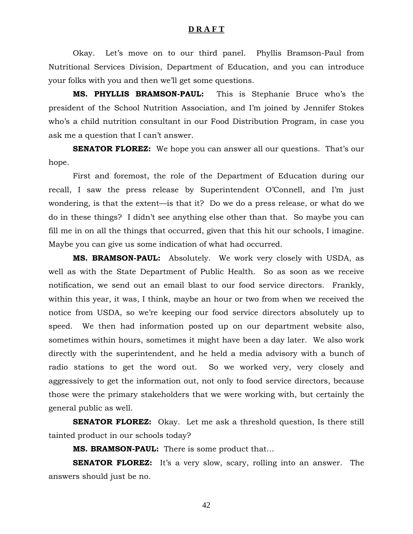Okay. Let's move on to our third panel. Phyllis Bramson-Paul from Nutritional Services Division, Department of Education, and you can introduce your folks with you and then we'll get some questions.

**MS. PHYLLIS BRAMSON-PAUL:** This is Stephanie Bruce who's the president of the School Nutrition Association, and I'm joined by Jennifer Stokes who's a child nutrition consultant in our Food Distribution Program, in case you ask me a question that I can't answer.

**SENATOR FLOREZ:** We hope you can answer all our questions. That's our hope.

 First and foremost, the role of the Department of Education during our recall, I saw the press release by Superintendent O'Connell, and I'm just wondering, is that the extent—is that it? Do we do a press release, or what do we do in these things? I didn't see anything else other than that. So maybe you can fill me in on all the things that occurred, given that this hit our schools, I imagine. Maybe you can give us some indication of what had occurred.

**MS. BRAMSON-PAUL:** Absolutely. We work very closely with USDA, as well as with the State Department of Public Health. So as soon as we receive notification, we send out an email blast to our food service directors. Frankly, within this year, it was, I think, maybe an hour or two from when we received the notice from USDA, so we're keeping our food service directors absolutely up to speed. We then had information posted up on our department website also, sometimes within hours, sometimes it might have been a day later. We also work directly with the superintendent, and he held a media advisory with a bunch of radio stations to get the word out. So we worked very, very closely and aggressively to get the information out, not only to food service directors, because those were the primary stakeholders that we were working with, but certainly the general public as well.

**SENATOR FLOREZ:** Okay. Let me ask a threshold question, Is there still tainted product in our schools today?

**MS. BRAMSON-PAUL:** There is some product that…

**SENATOR FLOREZ:** It's a very slow, scary, rolling into an answer. The answers should just be no.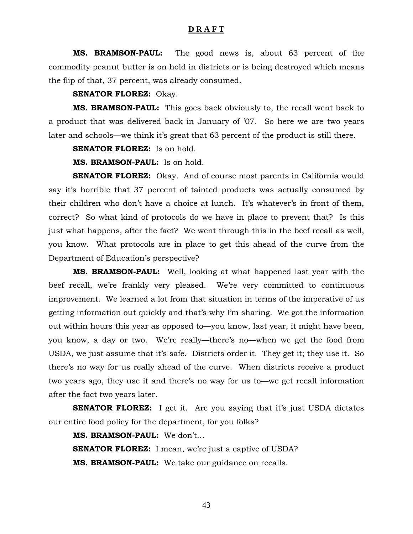**MS. BRAMSON-PAUL:** The good news is, about 63 percent of the commodity peanut butter is on hold in districts or is being destroyed which means the flip of that, 37 percent, was already consumed.

#### **SENATOR FLOREZ:** Okay.

**MS. BRAMSON-PAUL:** This goes back obviously to, the recall went back to a product that was delivered back in January of '07. So here we are two years later and schools—we think it's great that 63 percent of the product is still there.

**SENATOR FLOREZ:** Is on hold.

**MS. BRAMSON-PAUL:** Is on hold.

**SENATOR FLOREZ:** Okay. And of course most parents in California would say it's horrible that 37 percent of tainted products was actually consumed by their children who don't have a choice at lunch. It's whatever's in front of them, correct? So what kind of protocols do we have in place to prevent that? Is this just what happens, after the fact? We went through this in the beef recall as well, you know. What protocols are in place to get this ahead of the curve from the Department of Education's perspective?

**MS. BRAMSON-PAUL:** Well, looking at what happened last year with the beef recall, we're frankly very pleased. We're very committed to continuous improvement. We learned a lot from that situation in terms of the imperative of us getting information out quickly and that's why I'm sharing. We got the information out within hours this year as opposed to—you know, last year, it might have been, you know, a day or two. We're really—there's no—when we get the food from USDA, we just assume that it's safe. Districts order it. They get it; they use it. So there's no way for us really ahead of the curve. When districts receive a product two years ago, they use it and there's no way for us to—we get recall information after the fact two years later.

**SENATOR FLOREZ:** I get it. Are you saying that it's just USDA dictates our entire food policy for the department, for you folks?

**MS. BRAMSON-PAUL:** We don't… **SENATOR FLOREZ:** I mean, we're just a captive of USDA? **MS. BRAMSON-PAUL:** We take our guidance on recalls.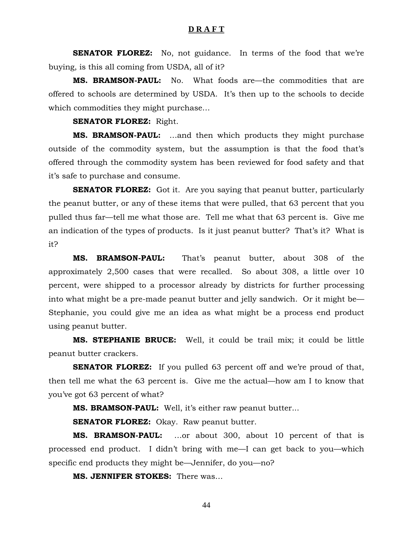**SENATOR FLOREZ:** No, not guidance. In terms of the food that we're buying, is this all coming from USDA, all of it?

**MS. BRAMSON-PAUL:** No. What foods are—the commodities that are offered to schools are determined by USDA. It's then up to the schools to decide which commodities they might purchase…

#### **SENATOR FLOREZ:** Right.

**MS. BRAMSON-PAUL:** …and then which products they might purchase outside of the commodity system, but the assumption is that the food that's offered through the commodity system has been reviewed for food safety and that it's safe to purchase and consume.

**SENATOR FLOREZ:** Got it. Are you saying that peanut butter, particularly the peanut butter, or any of these items that were pulled, that 63 percent that you pulled thus far—tell me what those are. Tell me what that 63 percent is. Give me an indication of the types of products. Is it just peanut butter? That's it? What is it?

**MS. BRAMSON-PAUL:** That's peanut butter, about 308 of the approximately 2,500 cases that were recalled. So about 308, a little over 10 percent, were shipped to a processor already by districts for further processing into what might be a pre-made peanut butter and jelly sandwich. Or it might be— Stephanie, you could give me an idea as what might be a process end product using peanut butter.

**MS. STEPHANIE BRUCE:** Well, it could be trail mix; it could be little peanut butter crackers.

**SENATOR FLOREZ:** If you pulled 63 percent off and we're proud of that, then tell me what the 63 percent is. Give me the actual—how am I to know that you've got 63 percent of what?

**MS. BRAMSON-PAUL:** Well, it's either raw peanut butter...

**SENATOR FLOREZ:** Okay. Raw peanut butter.

**MS. BRAMSON-PAUL:** …or about 300, about 10 percent of that is processed end product. I didn't bring with me—I can get back to you—which specific end products they might be—Jennifer, do you—no?

**MS. JENNIFER STOKES:** There was…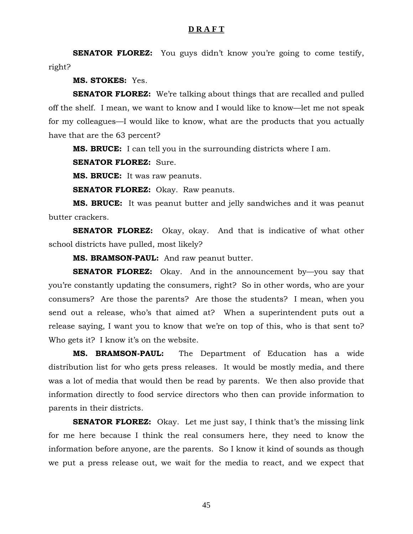**SENATOR FLOREZ:** You guys didn't know you're going to come testify, right?

**MS. STOKES:** Yes.

**SENATOR FLOREZ:** We're talking about things that are recalled and pulled off the shelf. I mean, we want to know and I would like to know—let me not speak for my colleagues—I would like to know, what are the products that you actually have that are the 63 percent?

**MS. BRUCE:** I can tell you in the surrounding districts where I am.

**SENATOR FLOREZ:** Sure.

**MS. BRUCE:** It was raw peanuts.

**SENATOR FLOREZ:** Okay. Raw peanuts.

**MS. BRUCE:** It was peanut butter and jelly sandwiches and it was peanut butter crackers.

**SENATOR FLOREZ:** Okay, okay. And that is indicative of what other school districts have pulled, most likely?

**MS. BRAMSON-PAUL:** And raw peanut butter.

**SENATOR FLOREZ:** Okay. And in the announcement by—you say that you're constantly updating the consumers, right? So in other words, who are your consumers? Are those the parents? Are those the students? I mean, when you send out a release, who's that aimed at? When a superintendent puts out a release saying, I want you to know that we're on top of this, who is that sent to? Who gets it? I know it's on the website.

**MS. BRAMSON-PAUL:** The Department of Education has a wide distribution list for who gets press releases. It would be mostly media, and there was a lot of media that would then be read by parents. We then also provide that information directly to food service directors who then can provide information to parents in their districts.

**SENATOR FLOREZ:** Okay. Let me just say, I think that's the missing link for me here because I think the real consumers here, they need to know the information before anyone, are the parents. So I know it kind of sounds as though we put a press release out, we wait for the media to react, and we expect that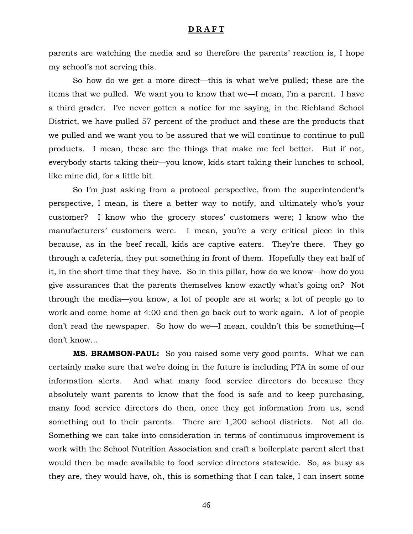parents are watching the media and so therefore the parents' reaction is, I hope my school's not serving this.

 So how do we get a more direct—this is what we've pulled; these are the items that we pulled. We want you to know that we—I mean, I'm a parent. I have a third grader. I've never gotten a notice for me saying, in the Richland School District, we have pulled 57 percent of the product and these are the products that we pulled and we want you to be assured that we will continue to continue to pull products. I mean, these are the things that make me feel better. But if not, everybody starts taking their—you know, kids start taking their lunches to school, like mine did, for a little bit.

 So I'm just asking from a protocol perspective, from the superintendent's perspective, I mean, is there a better way to notify, and ultimately who's your customer? I know who the grocery stores' customers were; I know who the manufacturers' customers were. I mean, you're a very critical piece in this because, as in the beef recall, kids are captive eaters. They're there. They go through a cafeteria, they put something in front of them. Hopefully they eat half of it, in the short time that they have. So in this pillar, how do we know—how do you give assurances that the parents themselves know exactly what's going on? Not through the media—you know, a lot of people are at work; a lot of people go to work and come home at 4:00 and then go back out to work again. A lot of people don't read the newspaper. So how do we—I mean, couldn't this be something—I don't know…

**MS. BRAMSON-PAUL:** So you raised some very good points. What we can certainly make sure that we're doing in the future is including PTA in some of our information alerts. And what many food service directors do because they absolutely want parents to know that the food is safe and to keep purchasing, many food service directors do then, once they get information from us, send something out to their parents. There are 1,200 school districts. Not all do. Something we can take into consideration in terms of continuous improvement is work with the School Nutrition Association and craft a boilerplate parent alert that would then be made available to food service directors statewide. So, as busy as they are, they would have, oh, this is something that I can take, I can insert some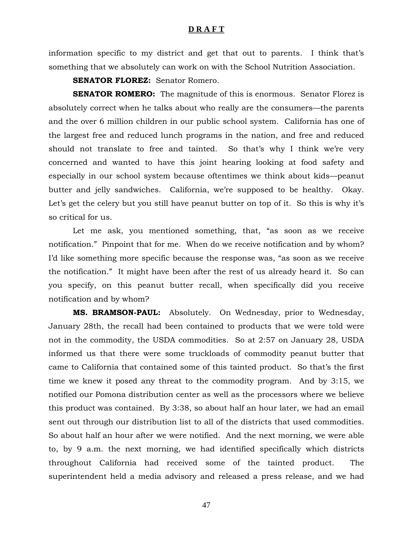information specific to my district and get that out to parents. I think that's something that we absolutely can work on with the School Nutrition Association.

**SENATOR FLOREZ:** Senator Romero.

**SENATOR ROMERO:** The magnitude of this is enormous. Senator Florez is absolutely correct when he talks about who really are the consumers—the parents and the over 6 million children in our public school system. California has one of the largest free and reduced lunch programs in the nation, and free and reduced should not translate to free and tainted. So that's why I think we're very concerned and wanted to have this joint hearing looking at food safety and especially in our school system because oftentimes we think about kids—peanut butter and jelly sandwiches. California, we're supposed to be healthy. Okay. Let's get the celery but you still have peanut butter on top of it. So this is why it's so critical for us.

 Let me ask, you mentioned something, that, "as soon as we receive notification." Pinpoint that for me. When do we receive notification and by whom? I'd like something more specific because the response was, "as soon as we receive the notification." It might have been after the rest of us already heard it. So can you specify, on this peanut butter recall, when specifically did you receive notification and by whom?

**MS. BRAMSON-PAUL:** Absolutely. On Wednesday, prior to Wednesday, January 28th, the recall had been contained to products that we were told were not in the commodity, the USDA commodities. So at 2:57 on January 28, USDA informed us that there were some truckloads of commodity peanut butter that came to California that contained some of this tainted product. So that's the first time we knew it posed any threat to the commodity program. And by 3:15, we notified our Pomona distribution center as well as the processors where we believe this product was contained. By 3:38, so about half an hour later, we had an email sent out through our distribution list to all of the districts that used commodities. So about half an hour after we were notified. And the next morning, we were able to, by 9 a.m. the next morning, we had identified specifically which districts throughout California had received some of the tainted product. The superintendent held a media advisory and released a press release, and we had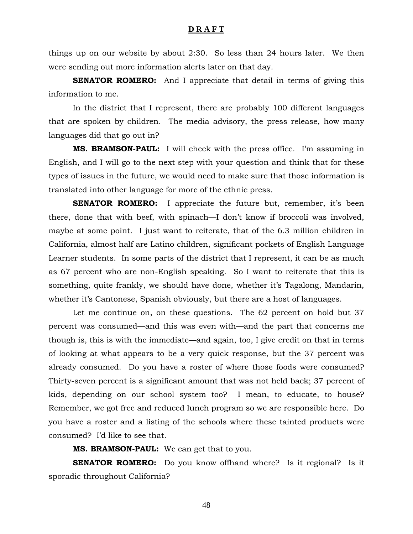things up on our website by about 2:30. So less than 24 hours later. We then were sending out more information alerts later on that day.

**SENATOR ROMERO:** And I appreciate that detail in terms of giving this information to me.

In the district that I represent, there are probably 100 different languages that are spoken by children. The media advisory, the press release, how many languages did that go out in?

**MS. BRAMSON-PAUL:** I will check with the press office. I'm assuming in English, and I will go to the next step with your question and think that for these types of issues in the future, we would need to make sure that those information is translated into other language for more of the ethnic press.

**SENATOR ROMERO:** I appreciate the future but, remember, it's been there, done that with beef, with spinach—I don't know if broccoli was involved, maybe at some point. I just want to reiterate, that of the 6.3 million children in California, almost half are Latino children, significant pockets of English Language Learner students. In some parts of the district that I represent, it can be as much as 67 percent who are non-English speaking. So I want to reiterate that this is something, quite frankly, we should have done, whether it's Tagalong, Mandarin, whether it's Cantonese, Spanish obviously, but there are a host of languages.

Let me continue on, on these questions. The 62 percent on hold but 37 percent was consumed—and this was even with—and the part that concerns me though is, this is with the immediate—and again, too, I give credit on that in terms of looking at what appears to be a very quick response, but the 37 percent was already consumed. Do you have a roster of where those foods were consumed? Thirty-seven percent is a significant amount that was not held back; 37 percent of kids, depending on our school system too? I mean, to educate, to house? Remember, we got free and reduced lunch program so we are responsible here. Do you have a roster and a listing of the schools where these tainted products were consumed? I'd like to see that.

**MS. BRAMSON-PAUL:** We can get that to you.

**SENATOR ROMERO:** Do you know offhand where? Is it regional? Is it sporadic throughout California?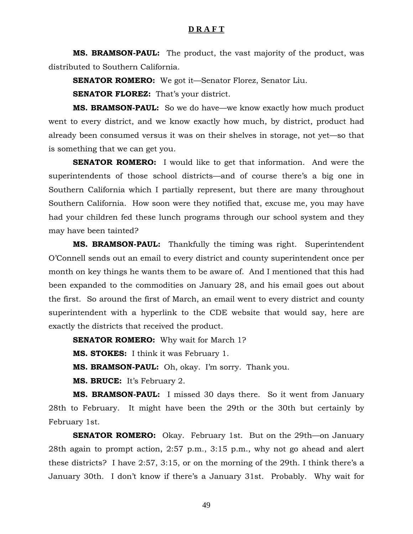**MS. BRAMSON-PAUL:** The product, the vast majority of the product, was distributed to Southern California.

**SENATOR ROMERO:** We got it—Senator Florez, Senator Liu.

**SENATOR FLOREZ:** That's your district.

**MS. BRAMSON-PAUL:** So we do have—we know exactly how much product went to every district, and we know exactly how much, by district, product had already been consumed versus it was on their shelves in storage, not yet—so that is something that we can get you.

**SENATOR ROMERO:** I would like to get that information. And were the superintendents of those school districts—and of course there's a big one in Southern California which I partially represent, but there are many throughout Southern California. How soon were they notified that, excuse me, you may have had your children fed these lunch programs through our school system and they may have been tainted?

**MS. BRAMSON-PAUL:** Thankfully the timing was right. Superintendent O'Connell sends out an email to every district and county superintendent once per month on key things he wants them to be aware of. And I mentioned that this had been expanded to the commodities on January 28, and his email goes out about the first. So around the first of March, an email went to every district and county superintendent with a hyperlink to the CDE website that would say, here are exactly the districts that received the product.

**SENATOR ROMERO:** Why wait for March 1?

**MS. STOKES:** I think it was February 1.

**MS. BRAMSON-PAUL:** Oh, okay. I'm sorry. Thank you.

**MS. BRUCE:** It's February 2.

**MS. BRAMSON-PAUL:** I missed 30 days there. So it went from January 28th to February. It might have been the 29th or the 30th but certainly by February 1st.

**SENATOR ROMERO:** Okay. February 1st. But on the 29th—on January 28th again to prompt action, 2:57 p.m., 3:15 p.m., why not go ahead and alert these districts? I have 2:57, 3:15, or on the morning of the 29th. I think there's a January 30th. I don't know if there's a January 31st. Probably. Why wait for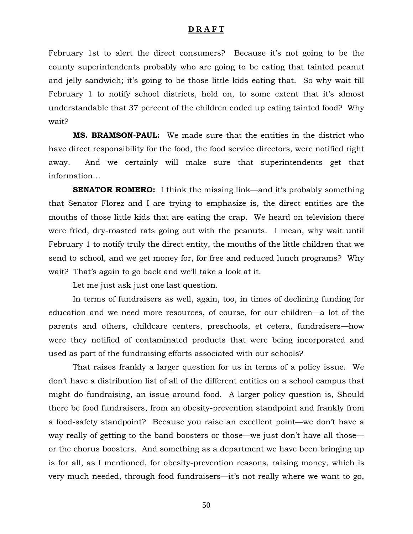February 1st to alert the direct consumers? Because it's not going to be the county superintendents probably who are going to be eating that tainted peanut and jelly sandwich; it's going to be those little kids eating that. So why wait till February 1 to notify school districts, hold on, to some extent that it's almost understandable that 37 percent of the children ended up eating tainted food? Why wait?

**MS. BRAMSON-PAUL:** We made sure that the entities in the district who have direct responsibility for the food, the food service directors, were notified right away. And we certainly will make sure that superintendents get that information…

**SENATOR ROMERO:** I think the missing link—and it's probably something that Senator Florez and I are trying to emphasize is, the direct entities are the mouths of those little kids that are eating the crap. We heard on television there were fried, dry-roasted rats going out with the peanuts. I mean, why wait until February 1 to notify truly the direct entity, the mouths of the little children that we send to school, and we get money for, for free and reduced lunch programs? Why wait? That's again to go back and we'll take a look at it.

Let me just ask just one last question.

In terms of fundraisers as well, again, too, in times of declining funding for education and we need more resources, of course, for our children—a lot of the parents and others, childcare centers, preschools, et cetera, fundraisers—how were they notified of contaminated products that were being incorporated and used as part of the fundraising efforts associated with our schools?

That raises frankly a larger question for us in terms of a policy issue. We don't have a distribution list of all of the different entities on a school campus that might do fundraising, an issue around food. A larger policy question is, Should there be food fundraisers, from an obesity-prevention standpoint and frankly from a food-safety standpoint? Because you raise an excellent point—we don't have a way really of getting to the band boosters or those—we just don't have all those or the chorus boosters. And something as a department we have been bringing up is for all, as I mentioned, for obesity-prevention reasons, raising money, which is very much needed, through food fundraisers—it's not really where we want to go,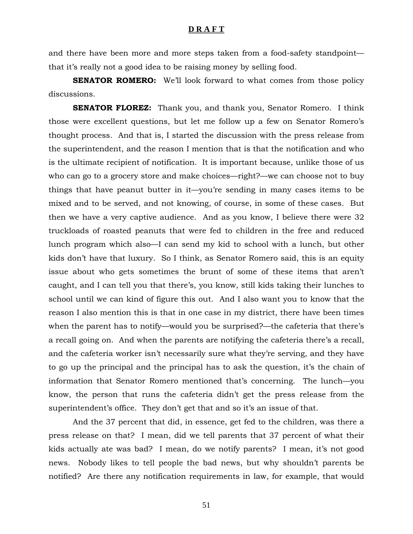and there have been more and more steps taken from a food-safety standpoint that it's really not a good idea to be raising money by selling food.

**SENATOR ROMERO:** We'll look forward to what comes from those policy discussions.

**SENATOR FLOREZ:** Thank you, and thank you, Senator Romero. I think those were excellent questions, but let me follow up a few on Senator Romero's thought process. And that is, I started the discussion with the press release from the superintendent, and the reason I mention that is that the notification and who is the ultimate recipient of notification. It is important because, unlike those of us who can go to a grocery store and make choices—right?—we can choose not to buy things that have peanut butter in it—you're sending in many cases items to be mixed and to be served, and not knowing, of course, in some of these cases. But then we have a very captive audience. And as you know, I believe there were 32 truckloads of roasted peanuts that were fed to children in the free and reduced lunch program which also—I can send my kid to school with a lunch, but other kids don't have that luxury. So I think, as Senator Romero said, this is an equity issue about who gets sometimes the brunt of some of these items that aren't caught, and I can tell you that there's, you know, still kids taking their lunches to school until we can kind of figure this out. And I also want you to know that the reason I also mention this is that in one case in my district, there have been times when the parent has to notify—would you be surprised?—the cafeteria that there's a recall going on. And when the parents are notifying the cafeteria there's a recall, and the cafeteria worker isn't necessarily sure what they're serving, and they have to go up the principal and the principal has to ask the question, it's the chain of information that Senator Romero mentioned that's concerning. The lunch—you know, the person that runs the cafeteria didn't get the press release from the superintendent's office. They don't get that and so it's an issue of that.

And the 37 percent that did, in essence, get fed to the children, was there a press release on that? I mean, did we tell parents that 37 percent of what their kids actually ate was bad? I mean, do we notify parents? I mean, it's not good news. Nobody likes to tell people the bad news, but why shouldn't parents be notified? Are there any notification requirements in law, for example, that would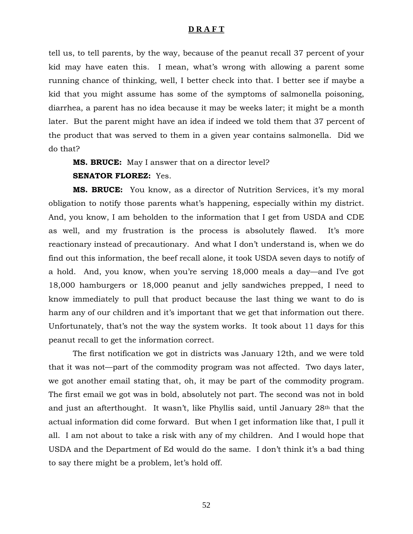tell us, to tell parents, by the way, because of the peanut recall 37 percent of your kid may have eaten this. I mean, what's wrong with allowing a parent some running chance of thinking, well, I better check into that. I better see if maybe a kid that you might assume has some of the symptoms of salmonella poisoning, diarrhea, a parent has no idea because it may be weeks later; it might be a month later. But the parent might have an idea if indeed we told them that 37 percent of the product that was served to them in a given year contains salmonella. Did we do that?

**MS. BRUCE:** May I answer that on a director level?

#### **SENATOR FLOREZ:** Yes.

**MS. BRUCE:** You know, as a director of Nutrition Services, it's my moral obligation to notify those parents what's happening, especially within my district. And, you know, I am beholden to the information that I get from USDA and CDE as well, and my frustration is the process is absolutely flawed. It's more reactionary instead of precautionary. And what I don't understand is, when we do find out this information, the beef recall alone, it took USDA seven days to notify of a hold. And, you know, when you're serving 18,000 meals a day—and I've got 18,000 hamburgers or 18,000 peanut and jelly sandwiches prepped, I need to know immediately to pull that product because the last thing we want to do is harm any of our children and it's important that we get that information out there. Unfortunately, that's not the way the system works. It took about 11 days for this peanut recall to get the information correct.

The first notification we got in districts was January 12th, and we were told that it was not—part of the commodity program was not affected. Two days later, we got another email stating that, oh, it may be part of the commodity program. The first email we got was in bold, absolutely not part. The second was not in bold and just an afterthought. It wasn't, like Phyllis said, until January 28th that the actual information did come forward. But when I get information like that, I pull it all. I am not about to take a risk with any of my children. And I would hope that USDA and the Department of Ed would do the same. I don't think it's a bad thing to say there might be a problem, let's hold off.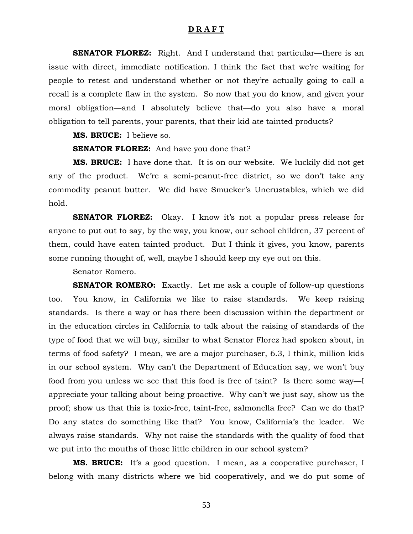**SENATOR FLOREZ:** Right. And I understand that particular—there is an issue with direct, immediate notification. I think the fact that we're waiting for people to retest and understand whether or not they're actually going to call a recall is a complete flaw in the system. So now that you do know, and given your moral obligation—and I absolutely believe that—do you also have a moral obligation to tell parents, your parents, that their kid ate tainted products?

**MS. BRUCE:** I believe so.

**SENATOR FLOREZ:** And have you done that?

**MS. BRUCE:** I have done that. It is on our website. We luckily did not get any of the product. We're a semi-peanut-free district, so we don't take any commodity peanut butter. We did have Smucker's Uncrustables, which we did hold.

**SENATOR FLOREZ:** Okay. I know it's not a popular press release for anyone to put out to say, by the way, you know, our school children, 37 percent of them, could have eaten tainted product. But I think it gives, you know, parents some running thought of, well, maybe I should keep my eye out on this.

Senator Romero.

**SENATOR ROMERO:** Exactly. Let me ask a couple of follow-up questions too. You know, in California we like to raise standards. We keep raising standards. Is there a way or has there been discussion within the department or in the education circles in California to talk about the raising of standards of the type of food that we will buy, similar to what Senator Florez had spoken about, in terms of food safety? I mean, we are a major purchaser, 6.3, I think, million kids in our school system. Why can't the Department of Education say, we won't buy food from you unless we see that this food is free of taint? Is there some way—I appreciate your talking about being proactive. Why can't we just say, show us the proof; show us that this is toxic-free, taint-free, salmonella free? Can we do that? Do any states do something like that? You know, California's the leader. We always raise standards. Why not raise the standards with the quality of food that we put into the mouths of those little children in our school system?

**MS. BRUCE:** It's a good question. I mean, as a cooperative purchaser, I belong with many districts where we bid cooperatively, and we do put some of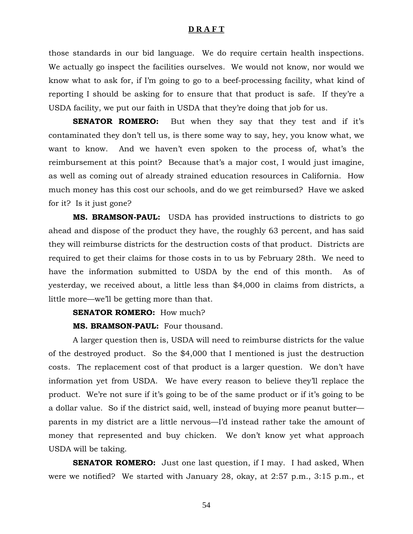those standards in our bid language. We do require certain health inspections. We actually go inspect the facilities ourselves. We would not know, nor would we know what to ask for, if I'm going to go to a beef-processing facility, what kind of reporting I should be asking for to ensure that that product is safe. If they're a USDA facility, we put our faith in USDA that they're doing that job for us.

**SENATOR ROMERO:** But when they say that they test and if it's contaminated they don't tell us, is there some way to say, hey, you know what, we want to know. And we haven't even spoken to the process of, what's the reimbursement at this point? Because that's a major cost, I would just imagine, as well as coming out of already strained education resources in California. How much money has this cost our schools, and do we get reimbursed? Have we asked for it? Is it just gone?

**MS. BRAMSON-PAUL:** USDA has provided instructions to districts to go ahead and dispose of the product they have, the roughly 63 percent, and has said they will reimburse districts for the destruction costs of that product. Districts are required to get their claims for those costs in to us by February 28th. We need to have the information submitted to USDA by the end of this month. As of yesterday, we received about, a little less than \$4,000 in claims from districts, a little more—we'll be getting more than that.

#### **SENATOR ROMERO:** How much?

#### **MS. BRAMSON-PAUL:** Four thousand.

A larger question then is, USDA will need to reimburse districts for the value of the destroyed product. So the \$4,000 that I mentioned is just the destruction costs. The replacement cost of that product is a larger question. We don't have information yet from USDA. We have every reason to believe they'll replace the product. We're not sure if it's going to be of the same product or if it's going to be a dollar value. So if the district said, well, instead of buying more peanut butter parents in my district are a little nervous—I'd instead rather take the amount of money that represented and buy chicken. We don't know yet what approach USDA will be taking.

**SENATOR ROMERO:** Just one last question, if I may. I had asked, When were we notified? We started with January 28, okay, at 2:57 p.m., 3:15 p.m., et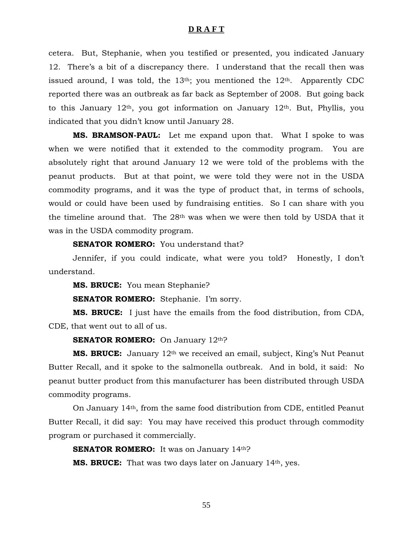cetera. But, Stephanie, when you testified or presented, you indicated January 12. There's a bit of a discrepancy there. I understand that the recall then was issued around, I was told, the  $13<sup>th</sup>$ ; you mentioned the  $12<sup>th</sup>$ . Apparently CDC reported there was an outbreak as far back as September of 2008. But going back to this January  $12<sup>th</sup>$ , you got information on January  $12<sup>th</sup>$ . But, Phyllis, you indicated that you didn't know until January 28.

**MS. BRAMSON-PAUL:** Let me expand upon that. What I spoke to was when we were notified that it extended to the commodity program. You are absolutely right that around January 12 we were told of the problems with the peanut products. But at that point, we were told they were not in the USDA commodity programs, and it was the type of product that, in terms of schools, would or could have been used by fundraising entities. So I can share with you the timeline around that. The 28th was when we were then told by USDA that it was in the USDA commodity program.

**SENATOR ROMERO:** You understand that?

Jennifer, if you could indicate, what were you told? Honestly, I don't understand.

**MS. BRUCE:** You mean Stephanie?

**SENATOR ROMERO:** Stephanie. I'm sorry.

**MS. BRUCE:** I just have the emails from the food distribution, from CDA, CDE, that went out to all of us.

**SENATOR ROMERO:** On January 12<sup>th</sup>?

**MS. BRUCE:** January 12<sup>th</sup> we received an email, subject, King's Nut Peanut Butter Recall, and it spoke to the salmonella outbreak. And in bold, it said: No peanut butter product from this manufacturer has been distributed through USDA commodity programs.

 On January 14th, from the same food distribution from CDE, entitled Peanut Butter Recall, it did say: You may have received this product through commodity program or purchased it commercially.

**SENATOR ROMERO:** It was on January 14th?

**MS. BRUCE:** That was two days later on January 14th, yes.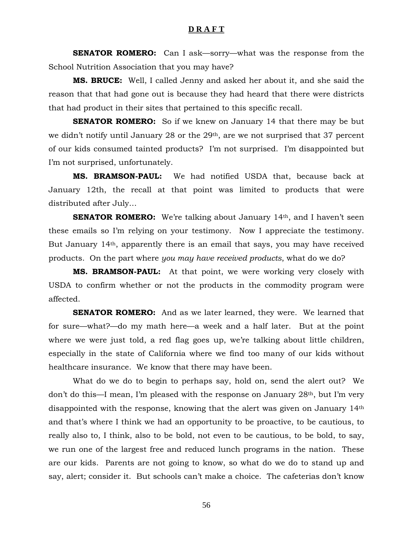**SENATOR ROMERO:** Can I ask—sorry—what was the response from the School Nutrition Association that you may have?

**MS. BRUCE:** Well, I called Jenny and asked her about it, and she said the reason that that had gone out is because they had heard that there were districts that had product in their sites that pertained to this specific recall.

**SENATOR ROMERO:** So if we knew on January 14 that there may be but we didn't notify until January 28 or the 29<sup>th</sup>, are we not surprised that 37 percent of our kids consumed tainted products? I'm not surprised. I'm disappointed but I'm not surprised, unfortunately.

**MS. BRAMSON-PAUL:** We had notified USDA that, because back at January 12th, the recall at that point was limited to products that were distributed after July…

**SENATOR ROMERO:** We're talking about January 14<sup>th</sup>, and I haven't seen these emails so I'm relying on your testimony. Now I appreciate the testimony. But January 14th, apparently there is an email that says, you may have received products. On the part where *you may have received products*, what do we do?

**MS. BRAMSON-PAUL:** At that point, we were working very closely with USDA to confirm whether or not the products in the commodity program were affected.

**SENATOR ROMERO:** And as we later learned, they were. We learned that for sure—what?—do my math here—a week and a half later. But at the point where we were just told, a red flag goes up, we're talking about little children, especially in the state of California where we find too many of our kids without healthcare insurance. We know that there may have been.

 What do we do to begin to perhaps say, hold on, send the alert out? We don't do this—I mean, I'm pleased with the response on January 28th, but I'm very disappointed with the response, knowing that the alert was given on January 14th and that's where I think we had an opportunity to be proactive, to be cautious, to really also to, I think, also to be bold, not even to be cautious, to be bold, to say, we run one of the largest free and reduced lunch programs in the nation. These are our kids. Parents are not going to know, so what do we do to stand up and say, alert; consider it. But schools can't make a choice. The cafeterias don't know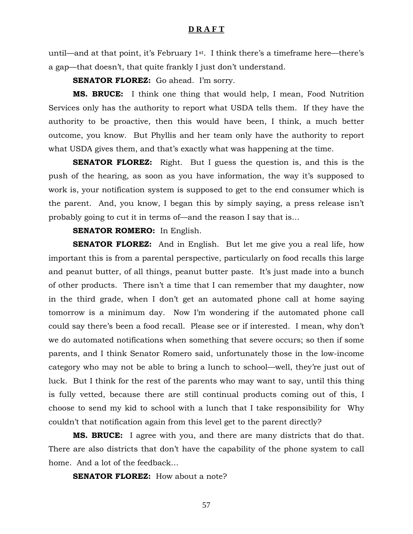until—and at that point, it's February 1st. I think there's a timeframe here—there's a gap—that doesn't, that quite frankly I just don't understand.

**SENATOR FLOREZ:** Go ahead. I'm sorry.

**MS. BRUCE:** I think one thing that would help, I mean, Food Nutrition Services only has the authority to report what USDA tells them. If they have the authority to be proactive, then this would have been, I think, a much better outcome, you know. But Phyllis and her team only have the authority to report what USDA gives them, and that's exactly what was happening at the time.

**SENATOR FLOREZ:** Right. But I guess the question is, and this is the push of the hearing, as soon as you have information, the way it's supposed to work is, your notification system is supposed to get to the end consumer which is the parent. And, you know, I began this by simply saying, a press release isn't probably going to cut it in terms of—and the reason I say that is…

#### **SENATOR ROMERO:** In English.

**SENATOR FLOREZ:** And in English. But let me give you a real life, how important this is from a parental perspective, particularly on food recalls this large and peanut butter, of all things, peanut butter paste. It's just made into a bunch of other products. There isn't a time that I can remember that my daughter, now in the third grade, when I don't get an automated phone call at home saying tomorrow is a minimum day. Now I'm wondering if the automated phone call could say there's been a food recall. Please see or if interested. I mean, why don't we do automated notifications when something that severe occurs; so then if some parents, and I think Senator Romero said, unfortunately those in the low-income category who may not be able to bring a lunch to school—well, they're just out of luck. But I think for the rest of the parents who may want to say, until this thing is fully vetted, because there are still continual products coming out of this, I choose to send my kid to school with a lunch that I take responsibility for Why couldn't that notification again from this level get to the parent directly?

**MS. BRUCE:** I agree with you, and there are many districts that do that. There are also districts that don't have the capability of the phone system to call home. And a lot of the feedback…

**SENATOR FLOREZ:** How about a note?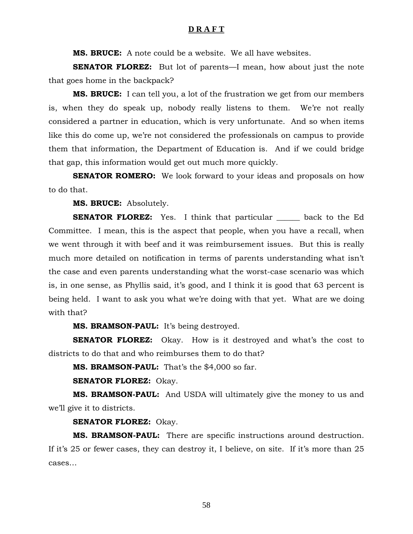**MS. BRUCE:** A note could be a website. We all have websites.

**SENATOR FLOREZ:** But lot of parents—I mean, how about just the note that goes home in the backpack?

**MS. BRUCE:** I can tell you, a lot of the frustration we get from our members is, when they do speak up, nobody really listens to them. We're not really considered a partner in education, which is very unfortunate. And so when items like this do come up, we're not considered the professionals on campus to provide them that information, the Department of Education is. And if we could bridge that gap, this information would get out much more quickly.

**SENATOR ROMERO:** We look forward to your ideas and proposals on how to do that.

**MS. BRUCE:** Absolutely.

**SENATOR FLOREZ:** Yes. I think that particular \_\_\_\_\_\_ back to the Ed Committee. I mean, this is the aspect that people, when you have a recall, when we went through it with beef and it was reimbursement issues. But this is really much more detailed on notification in terms of parents understanding what isn't the case and even parents understanding what the worst-case scenario was which is, in one sense, as Phyllis said, it's good, and I think it is good that 63 percent is being held. I want to ask you what we're doing with that yet. What are we doing with that?

**MS. BRAMSON-PAUL:** It's being destroyed.

**SENATOR FLOREZ:** Okay. How is it destroyed and what's the cost to districts to do that and who reimburses them to do that?

**MS. BRAMSON-PAUL:** That's the \$4,000 so far.

**SENATOR FLOREZ:** Okay.

**MS. BRAMSON-PAUL:** And USDA will ultimately give the money to us and we'll give it to districts.

#### **SENATOR FLOREZ:** Okay.

**MS. BRAMSON-PAUL:** There are specific instructions around destruction. If it's 25 or fewer cases, they can destroy it, I believe, on site. If it's more than 25 cases…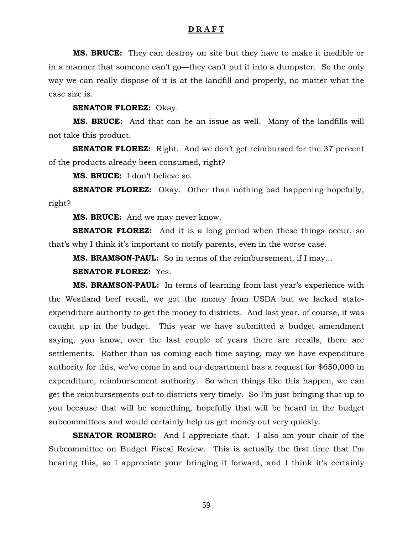**MS. BRUCE:** They can destroy on site but they have to make it inedible or in a manner that someone can't go—they can't put it into a dumpster. So the only way we can really dispose of it is at the landfill and properly, no matter what the case size is.

**SENATOR FLOREZ:** Okay.

 **MS. BRUCE:** And that can be an issue as well. Many of the landfills will not take this product.

**SENATOR FLOREZ:** Right. And we don't get reimbursed for the 37 percent of the products already been consumed, right?

**MS. BRUCE:** I don't believe so.

**SENATOR FLOREZ:** Okay. Other than nothing bad happening hopefully, right?

**MS. BRUCE:** And we may never know.

**SENATOR FLOREZ:** And it is a long period when these things occur, so that's why I think it's important to notify parents, even in the worse case.

**MS. BRAMSON-PAUL:** So in terms of the reimbursement, if I may…

**SENATOR FLOREZ:** Yes.

**MS. BRAMSON-PAUL:** In terms of learning from last year's experience with the Westland beef recall, we got the money from USDA but we lacked stateexpenditure authority to get the money to districts. And last year, of course, it was caught up in the budget. This year we have submitted a budget amendment saying, you know, over the last couple of years there are recalls, there are settlements. Rather than us coming each time saying, may we have expenditure authority for this, we've come in and our department has a request for \$650,000 in expenditure, reimbursement authority. So when things like this happen, we can get the reimbursements out to districts very timely. So I'm just bringing that up to you because that will be something, hopefully that will be heard in the budget subcommittees and would certainly help us get money out very quickly.

**SENATOR ROMERO:** And I appreciate that. I also am your chair of the Subcommittee on Budget Fiscal Review. This is actually the first time that I'm hearing this, so I appreciate your bringing it forward, and I think it's certainly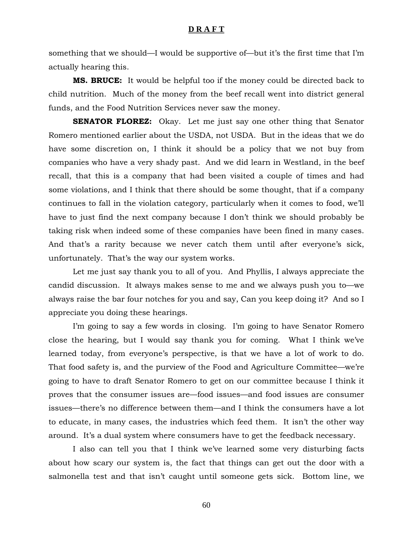something that we should—I would be supportive of—but it's the first time that I'm actually hearing this.

**MS. BRUCE:** It would be helpful too if the money could be directed back to child nutrition. Much of the money from the beef recall went into district general funds, and the Food Nutrition Services never saw the money.

**SENATOR FLOREZ:** Okay. Let me just say one other thing that Senator Romero mentioned earlier about the USDA, not USDA. But in the ideas that we do have some discretion on, I think it should be a policy that we not buy from companies who have a very shady past. And we did learn in Westland, in the beef recall, that this is a company that had been visited a couple of times and had some violations, and I think that there should be some thought, that if a company continues to fall in the violation category, particularly when it comes to food, we'll have to just find the next company because I don't think we should probably be taking risk when indeed some of these companies have been fined in many cases. And that's a rarity because we never catch them until after everyone's sick, unfortunately. That's the way our system works.

 Let me just say thank you to all of you. And Phyllis, I always appreciate the candid discussion. It always makes sense to me and we always push you to—we always raise the bar four notches for you and say, Can you keep doing it? And so I appreciate you doing these hearings.

 I'm going to say a few words in closing. I'm going to have Senator Romero close the hearing, but I would say thank you for coming. What I think we've learned today, from everyone's perspective, is that we have a lot of work to do. That food safety is, and the purview of the Food and Agriculture Committee—we're going to have to draft Senator Romero to get on our committee because I think it proves that the consumer issues are—food issues—and food issues are consumer issues—there's no difference between them—and I think the consumers have a lot to educate, in many cases, the industries which feed them. It isn't the other way around. It's a dual system where consumers have to get the feedback necessary.

 I also can tell you that I think we've learned some very disturbing facts about how scary our system is, the fact that things can get out the door with a salmonella test and that isn't caught until someone gets sick. Bottom line, we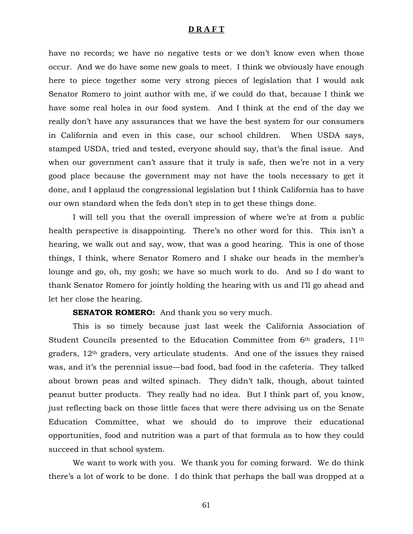have no records; we have no negative tests or we don't know even when those occur. And we do have some new goals to meet. I think we obviously have enough here to piece together some very strong pieces of legislation that I would ask Senator Romero to joint author with me, if we could do that, because I think we have some real holes in our food system. And I think at the end of the day we really don't have any assurances that we have the best system for our consumers in California and even in this case, our school children. When USDA says, stamped USDA, tried and tested, everyone should say, that's the final issue. And when our government can't assure that it truly is safe, then we're not in a very good place because the government may not have the tools necessary to get it done, and I applaud the congressional legislation but I think California has to have our own standard when the feds don't step in to get these things done.

 I will tell you that the overall impression of where we're at from a public health perspective is disappointing. There's no other word for this. This isn't a hearing, we walk out and say, wow, that was a good hearing. This is one of those things, I think, where Senator Romero and I shake our heads in the member's lounge and go, oh, my gosh; we have so much work to do. And so I do want to thank Senator Romero for jointly holding the hearing with us and I'll go ahead and let her close the hearing.

#### **SENATOR ROMERO:** And thank you so very much.

 This is so timely because just last week the California Association of Student Councils presented to the Education Committee from 6th graders, 11th graders,  $12<sup>th</sup>$  graders, very articulate students. And one of the issues they raised was, and it's the perennial issue—bad food, bad food in the cafeteria. They talked about brown peas and wilted spinach. They didn't talk, though, about tainted peanut butter products. They really had no idea. But I think part of, you know, just reflecting back on those little faces that were there advising us on the Senate Education Committee, what we should do to improve their educational opportunities, food and nutrition was a part of that formula as to how they could succeed in that school system.

 We want to work with you. We thank you for coming forward. We do think there's a lot of work to be done. I do think that perhaps the ball was dropped at a